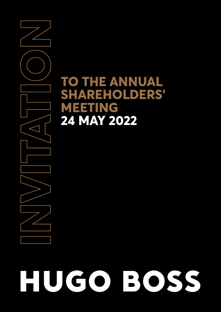# **TO THE ANNUAL SHAREHOLDERS' MEETING 24 MAY 2022**

**INVITATION** $\leq$ 

# UGO BOSS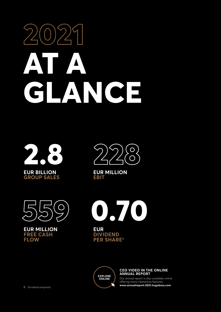# **2021 AT A GLANCE**





**EUR MILLION EBIT**



**EUR MILLION FREE CASH FLOW**



**[EXPLORE](http://annualreport-2021.hugoboss.com)  ONLINE**

**PER SHARE1**

#### **CEO VIDEO IN THE ONLINE ANNUAL REPORT**

Our annual report is also available online offering many interactive features. **[www.annualreport-2021.hugoboss.com](http://annualreport-2021.hugoboss.com)**

**1** Dividend proposal.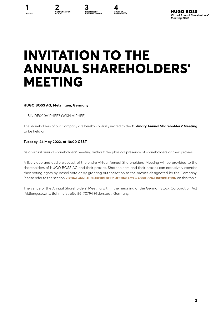**ADDITIONAL INFORMATION**

# **INVITATION TO THE ANNUAL SHAREHOLDERS' MEETING**

#### **HUGO BOSS AG, Metzingen, Germany**

– ISIN DE000A1PHFF7 (WKN A1PHFF) –

The shareholders of our Company are hereby cordially invited to the **Ordinary Annual Shareholders' Meeting**  to be held on

#### **Tuesday, 24 May 2022, at 10:00 CEST**

as a virtual annual shareholders' meeting without the physical presence of shareholders or their proxies.

A live video and audio webcast of the entire virtual Annual Shareholders' Meeting will be provided to the shareholders of HUGO BOSS AG and their proxies. Shareholders and their proxies can exclusively exercise their voting rights by postal vote or by granting authorization to the proxies designated by the Company. Please refer to the section **VIRTUAL ANNUAL SHAREHOLDERS' MEETING 2022 // ADDITIONAL INFORMATION** on this topic.

The venue of the Annual Shareholders' Meeting within the meaning of the German Stock Corporation Act (Aktiengesetz) is: Bahnhofstraße 86, 70794 Filderstadt, Germany.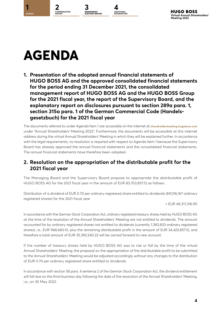<span id="page-3-0"></span>

The documents referred to under Agenda Item 1 are accessible on the internet at **[shareholdermeeting.hugoboss.com](http://shareholdermeeting.hugoboss.com)** under "Annual Shareholders' Meeting 2022". Furthermore, the documents will be accessible at this internet address during the virtual Annual Shareholders' Meeting in which they will be explained further. In accordance with the legal requirements, no resolution is required with respect to Agenda Item 1 because the Supervisory Board has already approved the annual financial statements and the consolidated financial statements. The annual financial statements have therefore been adopted.

# **2. Resolution on the appropriation of the distributable profit for the 2021 fiscal year**

The Managing Board and the Supervisory Board propose to appropriate the distributable profit of HUGO BOSS AG for the 2021 fiscal year in the amount of EUR 83,703,857.12 as follows:

Distribution of a dividend of EUR 0.70 per ordinary registered share entitled to dividends (69,016,167 ordinary registered shares) for the 2021 fiscal year

= EUR 48,311,316.90

In accordance with the German Stock Corporation Act, ordinary registered treasury shares held by HUGO BOSS AG at the time of the resolution of the Annual Shareholders' Meeting are not entitled to dividends. The amount accounted for by ordinary registered shares not entitled to dividends (currently 1,383,833 ordinary registered shares), i.e., EUR 968,683.10, plus the remaining distributable profit in the amount of EUR 34,423,857.12, and therefore a total amount of EUR 35,392,540.22 will be carried forward to new account.

If the number of treasury shares held by HUGO BOSS AG was to rise or fall by the time of the virtual Annual Shareholders' Meeting, the proposal on the appropriation of the distributable profit to be submitted to the Annual Shareholders' Meeting would be adjusted accordingly without any changes to the distribution of EUR 0.70 per ordinary registered share entitled to dividends.

In accordance with section 58 para. 4 sentence 2 of the German Stock Corporation Act, the dividend entitlement will fall due on the third business day following the date of the resolution of the Annual Shareholders' Meeting, i.e., on 30 May 2022.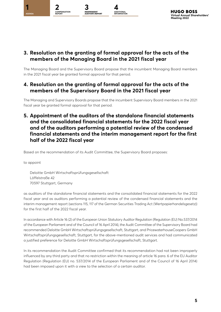

# **3. Resolution on the granting of formal approval for the acts of the members of the Managing Board in the 2021 fiscal year**

The Managing Board and the Supervisory Board propose that the incumbent Managing Board members in the 2021 fiscal year be granted formal approval for that period.

# **4. Resolution on the granting of formal approval for the acts of the members of the Supervisory Board in the 2021 fiscal year**

The Managing and Supervisory Boards propose that the incumbent Supervisory Board members in the 2021 fiscal year be granted formal approval for that period.

**5. Appointment of the auditors of the standalone financial statements and the consolidated financial statements for the 2022 fiscal year and of the auditors performing a potential review of the condensed financial statements and the interim management report for the first half of the 2022 fiscal year**

Based on the recommendation of its Audit Committee, the Supervisory Board proposes:

to appoint

Deloitte GmbH Wirtschaftsprüfungsgesellschaft Löffelstraße 42 70597 Stuttgart, Germany

as auditors of the standalone financial statements and the consolidated financial statements for the 2022 fiscal year and as auditors performing a potential review of the condensed financial statements and the interim management report (sections 115, 117 of the German Securities Trading Act (Wertpapierhandelsgesetz)) for the first half of the 2022 fiscal year.

In accordance with Article 16 (2) of the European Union Statutory Auditor Regulation (Regulation (EU) No.537/2014 of the European Parliament and of the Council of 16 April 2014), the Audit Committee of the Supervisory Board had recommended Deloitte GmbH Wirtschaftsprüfungsgesellschaft, Stuttgart, and PricewaterhouseCoopers GmbH Wirtschaftsprüfungsgesellschaft, Stuttgart, for the above-mentioned audit services and had communicated a justified preference for Deloitte GmbH Wirtschaftsprüfungsgesellschaft, Stuttgart.

In its recommendation the Audit Committee confirmed that its recommendation had not been improperly influenced by any third party and that no restriction within the meaning of article 16 para. 6 of the EU Auditor Regulation (Regulation (EU) no. 537/2014 of the European Parliament and of the Council of 16 April 2014) had been imposed upon it with a view to the selection of a certain auditor.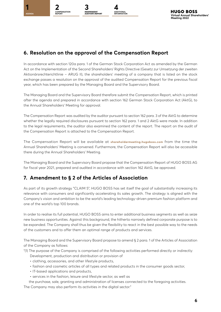

# **6. Resolution on the approval of the Compensation Report**

In accordance with section 120a para. 1 of the German Stock Corporation Act as amended by the German Act on the Implementation of the Second Shareholders' Rights Directive (Gesetz zur Umsetzung der zweiten Aktionärsrechterichtlinie – ARUG II), the shareholders' meeting of a company that is listed on the stock exchange passes a resolution on the approval of the audited Compensation Report for the previous fiscal year, which has been prepared by the Managing Board and the Supervisory Board.

The Managing Board and the Supervisory Board therefore submit the Compensation Report, which is printed after the agenda and prepared in accordance with section 162 German Stock Corporation Act (AktG), to the Annual Shareholders' Meeting for approval.

The Compensation Report was audited by the auditor pursuant to section 162 para. 3 of the AktG to determine whether the legally required disclosures pursuant to section 162 para. 1 and 2 AktG were made. In addition to the legal requirements, the auditor also examined the content of the report. The report on the audit of the Compensation Report is attached to the Compensation Report.

The Compensation Report will be available at **[shareholdermeeting.hugoboss.com](http://shareholdermeeting.hugoboss.com)** from the time the Annual Shareholders' Meeting is convened. Furthermore, the Compensation Report will also be accessible there during the Annual Shareholders' Meeting.

The Managing Board and the Supervisory Board propose that the Compensation Report of HUGO BOSS AG for fiscal year 2021, prepared and audited in accordance with section 162 AktG, be approved.

# **7. Amendment to § 2 of the Articles of Association**

As part of its growth strategy "CLAIM 5", HUGO BOSS has set itself the goal of substantially increasing its relevance with consumers and significantly accelerating its sales growth. The strategy is aligned with the Company's vision and ambition to be the world's leading technology-driven premium fashion platform and one of the world's top 100 brands.

In order to realise its full potential, HUGO BOSS aims to enter additional business segments as well as seize new business opportunities. Against this background, the hitherto narrowly defined corporate purpose is to be expanded. The Company shall thus be given the flexibility to react in the best possible way to the needs of the customers and to offer them an optimal range of products and services.

The Managing Board and the Supervisory Board propose to amend § 2 para. 1 of the Articles of Association of the Company as follows:

- "(1) The purpose of the Company is comprised of the following activities performed directly or indirectly:
	- Development, production and distribution or provision of
	- clothing, accessories, and other lifestyle products,
	- fashion and cosmetic articles of all types and related products in the consumer goods sector,
	- IT-based applications and products,
	- services in the fashion, leisure and lifestyle sector, as well as

the purchase, sale, granting and administration of licenses connected to the foregoing activities. The Company may also perform its activities in the digital sector."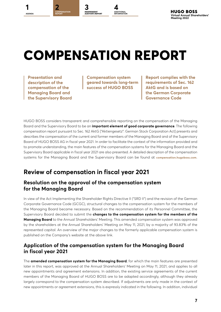<span id="page-6-0"></span>

**INDEPENDENT AUDITOR'S REPORT**

**ADDITIONAL INFORMATION**

# **COMPENSATION REPORT**

**Presentation and description of the compensation of the Managing Board and the Supervisory Board**

**Compensation system geared towards long-term success of HUGO BOSS**

**Report complies with the requirements of Sec. 162 AktG and is based on the German Corporate Governance Code**

HUGO BOSS considers transparent and comprehensible reporting on the compensation of the Managing Board and the Supervisory Board to be an **important element of good corporate governance**. The following compensation report pursuant to Sec. 162 AktG ["Aktiengesetz": German Stock Corporation Act] presents and describes the compensation of the current and former members of the Managing Board and of the Supervisory Board of HUGO BOSS AG in fiscal year 2021. In order to facilitate the context of the information provided and to promote understanding, the main features of the compensation systems for the Managing Board and the Supervisory Board applicable in fiscal year 2021 are also presented. A detailed description of the compensation systems for the Managing Board and the Supervisory Board can be found at **[compensation.hugoboss.com](http://compensation.hugoboss.com)**.

# **Review of compensation in fiscal year 2021**

# **Resolution on the approval of the compensation system for the Managing Board**

In view of the Act Implementing the Shareholder Rights Directive II ("SRD II") and the revision of the German Corporate Governance Code (GCGC), structural changes to the compensation system for the members of the Managing Board became necessary. Based on the recommendation of its Personnel Committee, the Supervisory Board decided to submit the **changes to the compensation system for the members of the Managing Board** to the Annual Shareholders' Meeting. This amended compensation system was approved by the shareholders at the Annual Shareholders' Meeting on May 11, 2021, by a majority of 93.83% of the represented capital. An overview of the major changes to the formerly applicable compensation system is published on the Company's website at the above link.

# **Application of the compensation system for the Managing Board in fiscal year 2021**

The **amended compensation system for the Managing Board**, for which the main features are presented later in this report, was approved at the Annual Shareholders' Meeting on May 11, 2021, and applies to all new appointments and agreement extensions. In addition, the existing service agreements of the current members of the Managing Board of HUGO BOSS are to be adapted accordingly, although they already largely correspond to the compensation system described. If adjustments are only made in the context of new appointments or agreement extensions, this is expressly indicated in the following. In addition, individual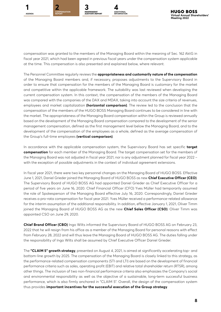

compensation was granted to the members of the Managing Board within the meaning of Sec. 162 AktG in fiscal year 2021, which had been agreed in previous fiscal years under the compensation system applicable at the time. This compensation is also presented and explained below, where relevant.

The Personnel Committee regularly reviews the **appropriateness and customarily nature of the compensation** of the Managing Board members and, if necessary, proposes adjustments to the Supervisory Board in order to ensure that compensation for the members of the Managing Board is customary for the market and competitive within the applicable framework. The suitability was last reviewed when developing the current compensation system. In this context, the compensation of the members of the Managing Board was compared with the companies of the DAX and MDAX, taking into account the size criteria of revenues, employees and market capitalization **(horizontal comparison)**. The review led to the conclusion that the compensation of the members of the HUGO BOSS Managing Board continues to be considered in line with the market. The appropriateness of the Managing Board compensation within the Group is reviewed annually based on the development of the Managing Board compensation compared to the development of the senior management compensation, defined as the first management level below the Managing Board, and to the development of the compensation of the employees as a whole, defined as the average compensation of the Group's full-time employees **(vertical comparison)**.

In accordance with the applicable compensation system, the Supervisory Board has set specific **target compensation** for each member of the Managing Board. The target compensation set for the members of the Managing Board was not adjusted in fiscal year 2021, nor is any adjustment planned for fiscal year 2022 – with the exception of possible adjustments in the context of individual agreement extensions.

In fiscal year 2021, there were two key personnel changes on the Managing Board of HUGO BOSS. Effective June 1, 2021, Daniel Grieder joined the Managing Board of HUGO BOSS as new **Chief Executive Officer (CEO)**. The Supervisory Board of HUGO BOSS AG had appointed Daniel Grieder as Chief Executive Officer for a period of five years on June 16, 2020. Chief Financial Officer (CFO) Yves Müller had temporarily assumed the role of Spokesperson of the Managing Board effective July 16, 2020. Correspondingly, Daniel Grieder receives a pro-rata compensation for fiscal year 2021. Yves Müller received a performance-related allowance for the interim assumption of the additional responsibility. In addition, effective January 1, 2021, Oliver Timm joined the Managing Board of HUGO BOSS AG as the new **Chief Sales Officer (CSO)**. Oliver Timm was appointed CSO on June 29, 2020.

**Chief Brand Officer (CBO)** Ingo Wilts informed the Supervisory Board of HUGO BOSS AG on February 23, 2022 that he will resign from his office as a member of the Managing Board for personal reasons with effect from February 28, 2022 and will thus leave the Managing Board of HUGO BOSS AG. The duties falling under the responsibility of Ingo Wilts shall be assumed by Chief Executive Officer Daniel Grieder.

The **"CLAIM 5" growth strategy**, presented on August 4, 2021, is aimed at significantly accelerating top- and bottom-line growth by 2025. The compensation of the Managing Board is closely linked to this strategy, as the performance-related compensation components (STI and LTI) are based on the development of financial performance criteria such as sales, operating profit (EBIT) and relative total shareholder return (RTSR), among other things. The inclusion of two non-financial performance criteria also emphasizes the Company's social and environmental responsibility as well as the objective of a sustainable, long-term successful business performance, which is also firmly anchored in "CLAIM 5". Overall, the design of the compensation system thus provides **important incentives for the successful execution of the Group strategy**.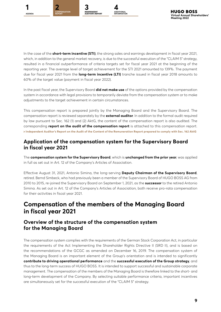





In the case of the **short-term incentive (STI)**, the strong sales and earnings development in fiscal year 2021, which, in addition to the general market recovery, is due to the successful execution of the "CLAIM 5" strategy, resulted in a financial outperformance of criteria targets set for fiscal year 2021 at the beginning of the reporting year. The average level of target achievement for the STI 2021 amounted to 139%. The payment due for fiscal year 2021 from the **long-term incentive (LTI)** tranche issued in fiscal year 2018 amounts to 60% of the target value (payment in fiscal year 2022).

In the past fiscal year, the Supervisory Board **did not make use** of the options provided by the compensation system in accordance with legal provisions to temporarily deviate from the compensation system or to make adjustments to the target achievement in certain circumstances.

This compensation report is prepared jointly by the Managing Board and the Supervisory Board. The compensation report is reviewed separately by the **external auditor**. In addition to the formal audit required by law pursuant to Sec. 162 (1) and (2) AktG, the content of the compensation report is also audited. The corresponding **report on the audit of the compensation report** is attached to this compensation report. **[Independent Auditor's Report on the Audit of the Content of the Remuneration Report prepared to comply with Sec.](#page-38-0) 162 AktG**

## **Application of the compensation system for the Supervisory Board in fiscal year 2021**

The **compensation system for the Supervisory Board**, which is **unchanged from the prior year**, was applied in full as set out in Art. 12 of the Company's Articles of Association.

Effective August 31, 2021, Antonio Simina, the long-serving **Deputy Chairman of the Supervisory Board**, retired. Bernd Simbeck, who had previously been a member of the Supervisory Board of HUGO BOSS AG from 2010 to 2015, re-joined the Supervisory Board on September 1, 2021, as the **successor** to the retired Antonio Simina. As set out in Art. 12 of the Company's Articles of Association, both receive pro-rata compensation for their activities in fiscal year 2021.

# **Compensation of the members of the Managing Board in fiscal year 2021**

# **Overview of the structure of the compensation system for the Managing Board**

The compensation system complies with the requirements of the German Stock Corporation Act, in particular the requirements of the Act Implementing the Shareholder Rights Directive II (SRD II), and is based on the recommendations of the GCGC as amended on December 16, 2019. The compensation system of the Managing Board is an important element of the Group's orientation and is intended to significantly **contribute to driving operational performance** and the **successful execution of the Group strategy**, and thus to the long-term success of HUGO BOSS. It is intended to support successful and sustainable corporate management. The compensation of the members of the Managing Board is therefore linked to the short- and long-term development of the Company. By selecting suitable performance criteria, important incentives are simultaneously set for the successful execution of the "CLAIM 5" strategy.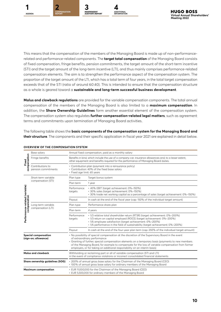

This means that the compensation of the members of the Managing Board is made up of non-performancerelated and performance-related components. The **target total compensation** of the Managing Board consists of fixed compensation, fringe benefits, pension commitments, the target amount of the short-term incentive (STI) and the target amount of the long-term incentive (LTI), and thus mainly comprises performance-related compensation elements. The aim is to strengthen the performance aspect of the compensation system. The proportion of the target amount of the LTI, which has a total term of four years, in the total target compensation exceeds that of the STI (ratio of around 60:40). This is intended to ensure that the compensation structure as a whole is geared toward a **sustainable and long-term successful business development**.

**Malus and clawback regulations** are provided for the variable compensation components. The total annual compensation of the members of the Managing Board is also limited to a **maximum compensation**. In addition, the **Share Ownership Guidelines** form another essential element of the compensation system. The compensation system also regulates **further compensation-related legal matters**, such as agreement terms and commitments upon termination of Managing Board activities.

The following table shows the **basic components of the compensation system for the Managing Board and their structure**. The components and their specific application in fiscal year 2021 are explained in detail below.

|                                                | Base salary                                         | Annual fixed compensation, paid as a monthly salary |                                                                                                                                                                                                                                                                                                                                                                                                                            |  |  |  |  |  |
|------------------------------------------------|-----------------------------------------------------|-----------------------------------------------------|----------------------------------------------------------------------------------------------------------------------------------------------------------------------------------------------------------------------------------------------------------------------------------------------------------------------------------------------------------------------------------------------------------------------------|--|--|--|--|--|
| compensation<br>Fixed                          | Fringe benefits                                     |                                                     | Benefits in kind, which include the use of a company car, insurance allowances and, to a lesser extent,<br>other equipment and benefits required for the performance of Managing Board duties.                                                                                                                                                                                                                             |  |  |  |  |  |
|                                                | Contributions to<br>pension commitments             | · Fixed age limit: 65 years                         | • Contribution plan (payment into a reinsurance policy)<br>• Contribution: 40% of the fixed base salary                                                                                                                                                                                                                                                                                                                    |  |  |  |  |  |
|                                                | Short-term variable                                 | Plan type                                           | Target bonus system                                                                                                                                                                                                                                                                                                                                                                                                        |  |  |  |  |  |
|                                                | compensation (STI)                                  | Plan term                                           | 1 year                                                                                                                                                                                                                                                                                                                                                                                                                     |  |  |  |  |  |
|                                                |                                                     | Performance<br>targets                              | · 40% EBIT (target achievement: 0%-150%)<br>· 30% sales (target achievement: 0%-150%)<br>· 30% trade net working capital as a percentage of sales (target achievement: 0%-150%)                                                                                                                                                                                                                                            |  |  |  |  |  |
|                                                |                                                     | Payout                                              | In cash at the end of the fiscal year (cap: 150% of the individual target amount)                                                                                                                                                                                                                                                                                                                                          |  |  |  |  |  |
|                                                | Long-term variable                                  | Plan type                                           | Performance share plan                                                                                                                                                                                                                                                                                                                                                                                                     |  |  |  |  |  |
| Performance-related (variable)<br>compensation | compensation (LTI)                                  | Plan term<br>4 years                                |                                                                                                                                                                                                                                                                                                                                                                                                                            |  |  |  |  |  |
|                                                |                                                     | Performance<br>targets                              | · 1/3 relative total shareholder return (RTSR) (target achievement: 0%-200%)<br>· 1/3 return on capital employed (ROCE) (target achievement: 0%-200%)<br>· 1/6 employee satisfaction (target achievement: 0%-200%)<br>• 1/6 performance in the field of sustainability (target achievement: 0%-200%)                                                                                                                       |  |  |  |  |  |
|                                                |                                                     | Payout                                              | In cash at the end of the four-year plan term (cap: 250% of the individual target amount)                                                                                                                                                                                                                                                                                                                                  |  |  |  |  |  |
|                                                | <b>Special compensation</b><br>(sign-on; allowance) |                                                     | • No possibility of special compensation at the discretion of the Supervisory Board in the event<br>of extraordinary performance<br>• Granting of further, special compensation elements on a temporary basis (payments to new members<br>of the Managing Board, for example to compensate for the loss of variable compensation from former<br>employers, or for taking on additional responsibility on an interim basis) |  |  |  |  |  |
|                                                | <b>Malus and clawback</b>                           |                                                     | Withholding or reclaiming part or all of variable compensation (STI and LTI)<br>in the event of compliance violations or incorrect consolidated financial statements                                                                                                                                                                                                                                                       |  |  |  |  |  |
|                                                | Share ownership guidelines (SOG)                    |                                                     | • 200% of annual gross base salary for the Chairman of the Managing Board (CEO)<br>• 100% of annual gross base salary for ordinary members of the Managing Board                                                                                                                                                                                                                                                           |  |  |  |  |  |
|                                                | <b>Maximum compensation</b>                         |                                                     | • EUR 11,000,000 for the Chairman of the Managing Board (CEO)<br>• EUR 5,500,000 for ordinary members of the Managing Board                                                                                                                                                                                                                                                                                                |  |  |  |  |  |

#### **OVERVIEW OF THE COMPENSATION SYSTEM**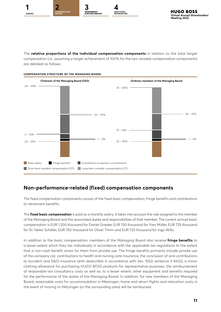

The **relative proportions of the individual compensation components** in relation to the total target compensation (i.e., assuming a target achievement of 100% for the two variable compensation components) are detailed as follows:



# **Non-performance-related (fixed) compensation components**

The fixed compensation components consist of the fixed basic compensation, fringe benefits and contributions to retirement benefits.

The **fixed basic compensation** is paid as a monthly salary. It takes into account the role assigned to the member of the Managing Board and the associated duties and responsibilities of that member. The current annual basic compensation is EUR 1,300 thousand for Daniel Grieder, EUR 750 thousand for Yves Müller, EUR 725 thousand for Dr. Heiko Schäfer, EUR 750 thousand for Oliver Timm and EUR 725 thousand for Ingo Wilts.

In addition to the basic compensation, members of the Managing Board also receive **fringe benefits** to a lesser extent which they tax individually in accordance with the applicable tax regulations to the extent that a non-cash benefit arises for them from private use. The fringe benefits primarily include private use of the company car, contributions to health and nursing care insurance, the conclusion of and contributions to accident and D&O insurance (with deductible in accordance with Sec. 93(2) sentence 3 AktG), a minor clothing allowance for purchasing HUGO BOSS products for representative purposes, the reimbursement of reasonable tax consultancy costs as well as, to a lesser extent, other equipment and benefits required for the performance of the duties of the Managing Board. In addition, for new members of the Managing Board, reasonable costs for accommodation in Metzingen, home and return flights and relocation costs in the event of moving to Metzingen (or the surrounding area) will be reimbursed.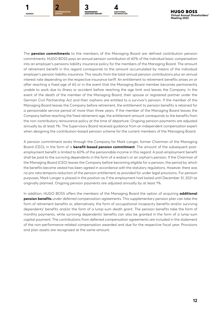



The **pension commitments** to the members of the Managing Board are defined contribution pension commitments. HUGO BOSS pays an annual pension contribution of 40% of the individual basic compensation into an employer's pensions liability insurance policy for the members of the Managing Board. The amount of retirement benefit in this regard corresponds to the amount accumulated by means of the individual employer's pension liability insurance. This results from the total annual pension contributions plus an annual interest rate depending on the respective insurance tariff. An entitlement to retirement benefits arises on or after reaching a fixed age of 65 or in the event that the Managing Board member becomes permanently unable to work due to illness or accident before reaching the age limit and leaves the Company. In the event of the death of the member of the Managing Board, their spouse or registered partner under the German Civil Partnership Act and their orphans are entitled to a survivor's pension. If the member of the Managing Board leaves the Company before retirement, the entitlement to pension benefits is retained for a pensionable service period of more than three years. If the member of the Managing Board leaves the Company before reaching the fixed retirement age, the entitlement amount corresponds to the benefits from the non-contributory reinsurance policy at the time of departure. Ongoing pension payments are adjusted annually by at least 1%. The Supervisory Board received guidance from an independent compensation expert when designing the contribution-based pension scheme for the current members of the Managing Board.

A pension commitment exists through the Company for Mark Langer, former Chairman of the Managing Board (CEO), in the form of a **benefit-based pension commitment**. The amount of the subsequent postemployment benefit is limited to 60% of the pensionable income in this regard. A post-employment benefit shall be paid to the surviving dependents in the form of a widow's or an orphan's pension. If the Chairman of the Managing Board (CEO) leaves the Company before becoming eligible for a pension, the period by which the benefits become vested has been agreed in accordance with the statutory regulations. However, there was no pro rata temporis reduction of the pension entitlement as provided for under legal provisions. For pension purposes, Mark Langer is placed in the position as if the employment had lasted until December 31, 2021 as originally planned. Ongoing pension payments are adjusted annually by at least 1%.

In addition, HUGO BOSS offers the members of the Managing Board the option of acquiring **additional pension benefits** under deferred compensation agreements. This supplementary pension plan can take the form of retirement benefits or, alternatively, the form of occupational incapacity benefits and/or surviving dependents' benefits and/or the form of a lump-sum death grant. The pension benefits take the form of monthly payments, while surviving dependents' benefits can also be granted in the form of a lump-sum capital payment. The contributions from deferred compensation agreements are included in the statement of the non-performance-related compensation awarded and due for the respective fiscal year. Provisions and plan assets are recognized at the same amount.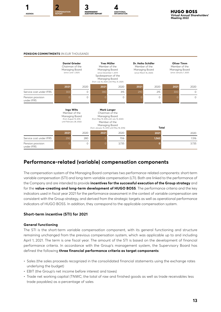



#### **PENSION COMMITMENTS** (IN FUR THOUSAND)



### **Performance-related (variable) compensation components**

The compensation system of the Managing Board comprises two performance-related components: short-term variable compensation (STI) and long-term variable compensation (LTI). Both are linked to the performance of the Company and are intended to provide **incentives for the successful execution of the Group strategy** and for the **value-creating and long-term development of HUGO BOSS**. The performance criteria and the key indicators used in fiscal year 2021 for the performance assessment in the context of variable compensation are consistent with the Group strategy, and derived from the strategic targets as well as operational performance indicators of HUGO BOSS. In addition, they correspond to the applicable compensation system.

#### **Short-term incentive (STI) for 2021**

#### **General functioning**

The STI is the short-term variable compensation component, with its general functioning and structure remaining unchanged from the previous compensation system, which was applicable up to and including April 1, 2021. The term is one fiscal year. The amount of the STI is based on the development of financial performance criteria. In accordance with the Group's management system, the Supervisory Board has defined the following **three financial performance criteria as target components**:

- Sales (the sales proceeds recognized in the consolidated financial statements using the exchange rates underlying the budget)
- EBIT (the Group's net income before interest and taxes)
- Trade net working capital (TNWC; the total of raw and finished goods as well as trade receivables less trade payables) as a percentage of sales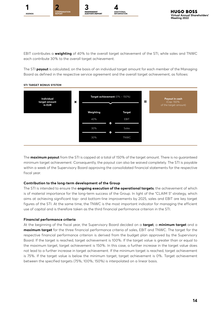

EBIT contributes a **weighting** of 40% to the overall target achievement of the STI, while sales and TNWC each contribute 30% to the overall target achievement.

The STI **payout** is calculated, on the basis of an individual target amount for each member of the Managing Board as defined in the respective service agreement and the overall target achievement, as follows:



#### **STI TARGET BONUS SYSTEM**

The **maximum payout** from the STI is capped at a total of 150% of the target amount. There is no guaranteed minimum target achievement. Consequently, the payout can also be waived completely. The STI is payable within a week of the Supervisory Board approving the consolidated financial statements for the respective fiscal year.

#### **Contribution to the long-term development of the Group**

The STI is intended to ensure the **ongoing execution of the operational targets**, the achievement of which is of material importance for the long-term success of the Group. In light of the "CLAIM 5" strategy, which aims at achieving significant top- and bottom-line improvements by 2025, sales and EBIT are key target figures of the STI. At the same time, the TNWC is the most important indicator for managing the efficient use of capital and is therefore taken as the third financial performance criterion in the STI.

#### **Financial performance criteria**

At the beginning of the fiscal year, the Supervisory Board decided on a **target**, a **minimum target** and a **maximum target** for the three financial performance criteria of sales, EBIT and TNWC. The target for the respective financial performance criterion is derived from the budget plan approved by the Supervisory Board. If the target is reached, target achievement is 100%. If the target value is greater than or equal to the maximum target, target achievement is 150%. In this case, a further increase in the target value does not lead to a further increase in target achievement. If the minimum target is reached, target achievement is 75%. If the target value is below the minimum target, target achievement is 0%. Target achievement between the specified targets (75%; 100%; 150%) is interpolated on a linear basis.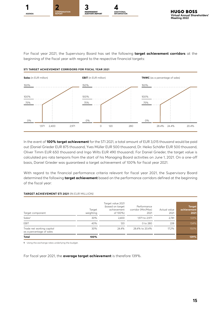





For fiscal year 2021, the Supervisory Board has set the following **target achievement corridors** at the beginning of the fiscal year with regard to the respective financial targets:

#### **STI TARGET ACHIEVEMENT CORRIDORS FOR FISCAL YEAR 2021**



In the event of **100% target achievement** for the STI 2021, a total amount of EUR 3,015 thousand would be paid out (Daniel Grieder EUR 875 thousand, Yves Müller EUR 500 thousand, Dr. Heiko Schäfer EUR 500 thousand, Oliver Timm EUR 650 thousand and Ingo Wilts EUR 490 thousand). For Daniel Grieder, the target value is calculated pro rata temporis from the start of his Managing Board activities on June 1, 2021. On a one-off basis, Daniel Grieder was guaranteed a target achievement of 100% for fiscal year 2021.

With regard to the financial performance criteria relevant for fiscal year 2021, the Supervisory Board determined the following **target achievement** based on the performance corridors defined at the beginning of the fiscal year:

#### **TARGET ACHIEVEMENT STI 2021** (IN EUR MILLION)

| Target component                                      | Target<br>weighting | Target value 2021<br>(based on target<br>achievement<br>of 100%) | Performance<br>corridor (Min/Max)<br>2021 | Actual value<br>2021 | <b>Target</b><br>achievement,<br>2021 |
|-------------------------------------------------------|---------------------|------------------------------------------------------------------|-------------------------------------------|----------------------|---------------------------------------|
| Sales <sup>1</sup>                                    | 30%                 | 2.400                                                            | 1,971 to 2,971                            | 2.781                | 133%                                  |
| EBIT                                                  | 40%                 | 120                                                              | 0 to 280                                  | 228                  | 134%                                  |
| Trade net working capital<br>as a percentage of sales | 30%                 | 24.4%                                                            | 28.4% to 20.4%                            | 17.2%                | 150%                                  |
| Total                                                 | 100%                |                                                                  |                                           |                      | 139%                                  |

**1** Using the exchange rates underlying the budget.

For fiscal year 2021, the **average target achievement** is therefore 139%.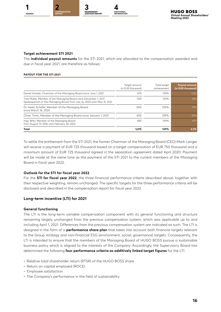

#### **Target achievement STI 2021**

The **individual payout amounts** for the STI 2021, which are allocated to the compensation awarded and due in fiscal year 2021, are therefore as follows:

#### **PAYOUT FOR THE STI 2021**

|                                                                                                                                               | Target amount<br>(in EUR thousand) | Total target<br>achievement | <b>Payout amount</b><br>(in EUR thousand) |
|-----------------------------------------------------------------------------------------------------------------------------------------------|------------------------------------|-----------------------------|-------------------------------------------|
| Daniel Grieder, Chairman of the Managing Board since June 1, 2021                                                                             | 875                                | 139%                        | 1,212                                     |
| Yves Müller, Member of the Managing Board since December 1, 2017,<br>Spokesperson of the Managing Board from July 16, 2020 until May 31, 2021 | 500                                | 139%                        | 693                                       |
| Dr. Heiko Schäfer, Member of the Managing Board<br>since March 16, 2020                                                                       | 500                                | 139%                        | 693                                       |
| Oliver Timm, Member of the Managing Board since January 1, 2021                                                                               | 650                                | 139%                        | 900                                       |
| Ingo Wilts, Member of the Managing Board<br>from August 15, 2016 until February 28, 2022                                                      | 490                                | 139%                        | 679                                       |
| Total                                                                                                                                         | 3.015                              | 139%                        | 4,176                                     |

To settle the entitlement from the STI 2021, the former Chairman of the Managing Board (CEO) Mark Langer will receive a payment of EUR 725 thousand based on a target compensation of EUR 750 thousand and a maximum amount of EUR 725 thousand agreed in the separation agreement dated April 2020. Payment will be made at the same time as the payment of the STI 2021 to the current members of the Managing Board in fiscal year 2022.

#### **Outlook for the STI for fiscal year 2022**

For the **STI for fiscal year 2022**, the three financial performance criteria described above, together with their respective weighting, remain unchanged. The specific targets for the three performance criteria will be disclosed and described in the compensation report for fiscal year 2022.

#### **Long-term incentive (LTI) for 2021**

#### **General functioning**

The LTI is the long-term variable compensation component with its general functioning and structure remaining largely unchanged from the previous compensation system, which was applicable up to and including April 1, 2021. Differences from the previous compensation system are indicated as such. The LTI is designed in the form of a **performance share plan** that takes into account both financial targets relevant to the Group strategy and non-financial ESG (environment, social, governance) targets. Consequently, the LTI is intended to ensure that the members of the Managing Board of HUGO BOSS pursue a sustainable business policy which is aligned to the interests of the Company. Accordingly, the Supervisory Board has determined the following **four performance criteria as additively linked target figures** for the LTI:

- Relative total shareholder return (RTSR) of the HUGO BOSS share
- Return on capital employed (ROCE)
- Employee satisfaction
- The Company's performance in the field of sustainability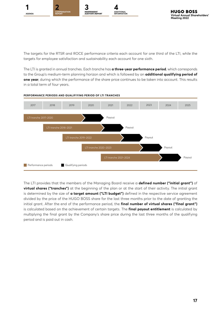





The targets for the RTSR and ROCE performance criteria each account for one third of the LTI, while the targets for employee satisfaction and sustainability each account for one sixth.

The LTI is granted in annual tranches. Each tranche has **a three-year performance period**, which corresponds to the Group's medium-term planning horizon and which is followed by an **additional qualifying period of one year**, during which the performance of the share price continues to be taken into account. This results in a total term of four years.



#### **PERFORMANCE PERIODS AND QUALIFIYING PERIOD OF LTI TRANCHES**

The LTI provides that the members of the Managing Board receive a **defined number ("initial grant")** of **virtual shares ("tranches")** at the beginning of the plan or at the start of their activity. The initial grant is determined by the size of **a target amount ("LTI budget")** defined in the respective service agreement divided by the price of the HUGO BOSS share for the last three months prior to the date of granting the initial grant. After the end of the performance period, the **final number of virtual shares ("final grant")** is calculated based on the achievement of certain targets. The **final payout entitlement** is calculated by multiplying the final grant by the Company's share price during the last three months of the qualifying period and is paid out in cash.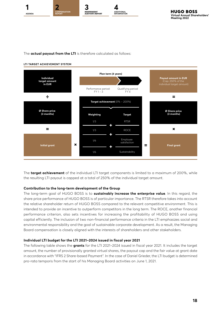

The **actual payout from the LTI** is therefore calculated as follows:

#### **LTI TARGET ACHIEVEMENT SYSTEM**



The **target achievement** of the individual LTI target components is limited to a maximum of 200%, while the resulting LTI payout is capped at a total of 250% of the individual target amount.

#### **Contribution to the long-term development of the Group**

The long-term goal of HUGO BOSS is to **sustainably increase the enterprise value**. In this regard, the share price performance of HUGO BOSS is of particular importance. The RTSR therefore takes into account the relative shareholder return of HUGO BOSS compared to the relevant competitive environment. This is intended to provide an incentive to outperform competitors in the long term. The ROCE, another financial performance criterion, also sets incentives for increasing the profitability of HUGO BOSS and using capital efficiently. The inclusion of two non-financial performance criteria in the LTI emphasizes social and environmental responsibility and the goal of sustainable corporate development. As a result, the Managing Board compensation is closely aligned with the interests of shareholders and other stakeholders.

#### **Individual LTI budget for the LTI 2021–2024 issued in fiscal year 2021**

The following table shows the **grants** for the LTI 2021–2024 issued in fiscal year 2021. It includes the target amount, the number of provisionally granted virtual shares, the payout cap and the fair value at grant date in accordance with "IFRS 2 Share-based Payment". In the case of Daniel Grieder, the LTI budget is determined pro-rata temporis from the start of his Managing Board activities on June 1, 2021.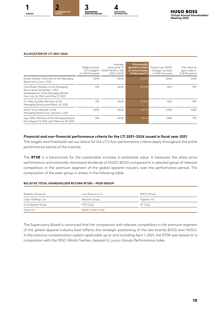



#### **ALLOCATION OF LTI 2021–2024**

|                                                                                                                                                     | Target amount<br>in EUR thousand | Average<br>share price of<br>("LTI budget") HUGO BOSS in Q4<br>2020 in EUR | <b>Provisionally</b><br>granted number<br>of virtual shares<br>("initial grant") | Payout cap (250%<br>of target amount)<br>in EUR thousand | Fair value at<br>grant date in<br><b>EUR</b> thousand |
|-----------------------------------------------------------------------------------------------------------------------------------------------------|----------------------------------|----------------------------------------------------------------------------|----------------------------------------------------------------------------------|----------------------------------------------------------|-------------------------------------------------------|
| Daniel Grieder, Chairman of the Managing<br>Board since June 1, 2021                                                                                | 1.400                            | 24.56                                                                      | 57,004                                                                           | 3,500                                                    | 2,418                                                 |
| Yves Müller, Member of the Managing<br>Board since December 1, 2017,<br>Spokesperson of the Managing Board<br>from July 16, 2020 until May 31, 2021 | 750                              | 24.56                                                                      | 30,538                                                                           | 1.875                                                    | 787                                                   |
| Dr. Heiko Schäfer, Member of the<br>Managing Board since March 16, 2020                                                                             | 725                              | 24.56                                                                      | 29,520                                                                           | 1,813                                                    | 760                                                   |
| Oliver Timm, Member of the<br>Managing Board since January 1, 2021                                                                                  | 1.000                            | 24.56                                                                      | 40,717                                                                           | 2,500                                                    | 1.049                                                 |
| Ingo Wilts, Member of the Managing Board<br>from August 15, 2016 until February 28, 2022                                                            | 740                              | 24.56                                                                      | 30,131                                                                           | 1,850                                                    | 776                                                   |

#### **Financial and non-financial performance criteria for the LTI 2021–2024 issued in fiscal year 2021**

The targets and thresholds set out below for the LTI's four performance criteria apply throughout the entire performance period of the tranche.

The **RTSR** is a benchmark for the sustainable increase in enterprise value. It measures the share price performance and notionally reinvested dividends of HUGO BOSS compared to a selected group of relevant competitors in the premium segment of the global apparel industry over the performance period. The composition of the peer group is shown in the following table:

#### **RELATIVE TOTAL SHAREHOLDER RETURN (RTSR) – PEER GROUP**

| Burberry Group plc  | Levi Strauss & Co. | SMCP Group    |
|---------------------|--------------------|---------------|
| Capri Holdings Ltd. | Moncler Group      | Tapestry Inc. |
| G-III Apparel Group | PVH Corp.          | VF Corp.      |
| Guess Inc.          | Ralph Lauren Corp. |               |

The Supervisory Board is convinced that the comparison with relevant competitors in the premium segment of the global apparel industry best reflects the strategic positioning of the two brands BOSS and HUGO. In the previous compensation system applicable up to and including April 1, 2021, the RTSR was based on a comparison with the MSCI World Textiles, Apparel & Luxury Goods Performance Index.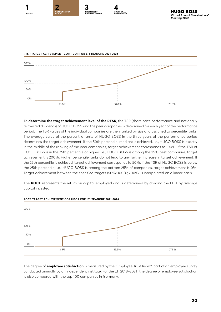



To **determine the target achievement level of the RTSR**, the TSR (share price performance and notionally reinvested dividends) of HUGO BOSS and the peer companies is determined for each year of the performance period. The TSR values of the individual companies are then ranked by size and assigned to percentile ranks. The average value of the percentile ranks of HUGO BOSS in the three years of the performance period determines the target achievement. If the 50th percentile (median) is achieved, i.e., HUGO BOSS is exactly in the middle of the ranking of the peer companies, target achievement corresponds to 100%. If the TSR of HUGO BOSS is in the 75th percentile or higher, i.e., HUGO BOSS is among the 25% best companies, target achievement is 200%. Higher percentile ranks do not lead to any further increase in target achievement. If the 25th percentile is achieved, target achievement corresponds to 50%. If the TSR of HUGO BOSS is below the 25th percentile, i.e., HUGO BOSS is among the bottom 25% of companies, target achievement is 0%. Target achievement between the specified targets (50%; 100%; 200%) is interpolated on a linear basis.

The **ROCE** represents the return on capital employed and is determined by dividing the EBIT by average capital invested.



#### **ROCE TARGET ACHIEVEMENT CORRIDOR FOR LTI TRANCHE 2021-2024**

The degree of **employee satisfaction** is measured by the "Employee Trust Index", part of an employee survey conducted annually by an independent institute. For the LTI 2018–2021 , the degree of employee satisfaction is also compared with the top 100 companies in Germany.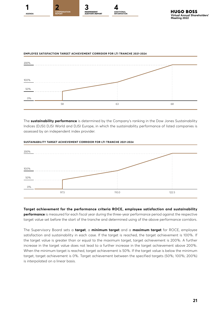





The **sustainability performance** is determined by the Company's ranking in the Dow Jones Sustainability Indices (DJSI) DJSI World and DJSI Europe, in which the sustainability performance of listed companies is assessed by an independent index provider.



#### **SUSTAINABILITY TARGET ACHIEVEMENT CORRIDOR FOR LTI TRANCHE 2021-2024**

**Target achievement for the performance criteria ROCE, employee satisfaction and sustainability performance** is measured for each fiscal year during the three-year performance period against the respective target value set before the start of the tranche and determined using of the above performance corridors.

The Supervisory Board sets a **target**, a **minimum target** and a **maximum target** for ROCE, employee satisfaction and sustainability in each case. If the target is reached, the target achievement is 100%. If the target value is greater than or equal to the maximum target, target achievement is 200%. A further increase in the target value does not lead to a further increase in the target achievement above 200%. When the minimum target is reached, target achievement is 50%. If the target value is below the minimum target, target achievement is 0%. Target achievement between the specified targets (50%; 100%; 200%) is interpolated on a linear basis.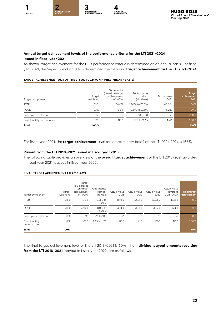

#### **Annual target achievement levels of the performance criteria for the LTI 2021–2024 issued in fiscal year 2021**

As shown, target achievement for the LTI's performance criteria is determined on an annual basis. For fiscal year 2021, the Supervisory Board has determined the following **target achievement for the LTI 2021–2024**:

#### **TARGET ACHIEVEMENT 2021 OF THE LTI 2021-2024 (ON A PRELIMINARY BASIS)**

| Target component           | Target<br>weighting | Target value<br>(based on target<br>achievement<br>of 100%) | Performance<br>corridor<br>(Min/Max) | Actual value<br>2021 | <b>Target</b><br>achievement<br>2021 |
|----------------------------|---------------------|-------------------------------------------------------------|--------------------------------------|----------------------|--------------------------------------|
| <b>RTSR</b>                | 33%                 | 50.0%                                                       | 25.0% to 75.0%                       | 100.0%               | 200%                                 |
| <b>ROCE</b>                | 33%                 | 15.5%                                                       | 3.5% to 27.5%                        | 15.2%                | 99%                                  |
| Employee satisfaction      | 17%                 | 63                                                          | 58 to 68                             | 71                   | 200%                                 |
| Sustainability performance | 17%                 | 110.0                                                       | 97.5 to 122.5                        | 144.1                | 200%                                 |
| <b>Total</b>               | 100%                |                                                             |                                      |                      | 166%                                 |

For fiscal year 2021, the **target achievement level** (on a preliminary basis) of the LTI 2021–2024 is 166%.

#### **Payout from the LTI 2018–2021 issued in fiscal year 2018**

The following table provides an overview of the **overall target achievement** of the LTI 2018–2021 awarded in fiscal year 2021 (payout in fiscal year 2022):

#### **FINAL TARGET ACHIEVEMENT LTI 2018–2021**

| Target component              | Target<br>weighting | Target<br>value (based<br>on target<br>achievement<br>of 100%) | Performance<br>corridor<br>(Min/Max) | Actual value<br>2018 | Actual value<br>2019 | Actual value<br>2020 | Actual value<br>(average)<br>2018-2020) | <b>Final target</b><br>achievement |
|-------------------------------|---------------------|----------------------------------------------------------------|--------------------------------------|----------------------|----------------------|----------------------|-----------------------------------------|------------------------------------|
| <b>RTSR</b>                   | 33%                 | 2.5%                                                           | (10.0)% to<br>15.0%                  | (17.1)%              | (54.8)%              | $(58.8)\%$           | $(43.6)\%$                              | 0%                                 |
| <b>ROCE</b>                   | 33%                 | 42.0%                                                          | 30.0% to<br>55.0%                    | 43.4%                | 35.3%                | 33.5%                | 37.4%                                   | 81%                                |
| Employee satisfaction         | 17%                 | 90                                                             | 80 to 100                            | 76                   | 78                   | 78                   | 77                                      | 0%                                 |
| Sustainability<br>performance | 17%                 | 105.0                                                          | 92.5 to 117.5                        | 125.0                | 111.6                | 130.3                | 122.3                                   | 200%                               |
| <b>Total</b>                  | 100%                |                                                                |                                      |                      |                      |                      |                                         | 60%                                |

The final target achievement level of the LTI 2018–2021 is 60%. The **individual payout amounts resulting from the LTI 2018–2021** (payout in fiscal year 2022) are as follows: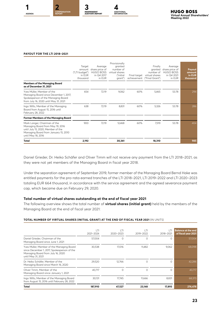



#### **PAYOUT FOR THE LTI 2018–2021**

|                                                                                                                                                                      | Target<br>amount<br>("LTI budget")<br>in FUR<br>thousand | Average<br>share price of<br><b>HUGO BOSS</b><br>in Q4 2017<br>in EUR | Provisionally<br>granted<br>number of<br>virtual shares<br>l"initial<br>grant") |     | Finally<br>granted<br>number of<br>Final target virtual shares<br>achievement ("Final Grant") | Average<br>share price of<br><b>HUGO BOSS</b><br>in Q4 2021<br>in EUR | Payout<br>amount<br>in EUR<br>thousand |
|----------------------------------------------------------------------------------------------------------------------------------------------------------------------|----------------------------------------------------------|-----------------------------------------------------------------------|---------------------------------------------------------------------------------|-----|-----------------------------------------------------------------------------------------------|-----------------------------------------------------------------------|----------------------------------------|
| <b>Members of the Managing Board</b><br>as of December 31, 2021                                                                                                      |                                                          |                                                                       |                                                                                 |     |                                                                                               |                                                                       |                                        |
| Yves Müller, Member of the<br>Managing Board since December 1, 2017,<br>Spokesperson of the Managing Board<br>from July 16, 2020 until May 31, 2021                  | 654                                                      | 72.19                                                                 | 9.062                                                                           | 60% | 5,465                                                                                         | 53.78                                                                 | 294                                    |
| Ingo Wilts, Member of the Managing<br>Board from August 15, 2016 until<br>February 28, 2022                                                                          | 638                                                      | 72.19                                                                 | 8,831                                                                           | 60% | 5,326                                                                                         | 53.78                                                                 | 286                                    |
| Former Members of the Managing Board                                                                                                                                 |                                                          |                                                                       |                                                                                 |     |                                                                                               |                                                                       |                                        |
| Mark Langer, Chairman of the<br>Managing Board from May 19, 2016<br>until July 15, 2020, Member of the<br>Managing Board from January 15, 2010<br>until May 18, 2016 | 900                                                      | 72.19                                                                 | 12,468                                                                          | 60% | 7,519                                                                                         | 53.78                                                                 | 404                                    |
| Total                                                                                                                                                                | 2,192                                                    |                                                                       | 30,361                                                                          |     | 18,310                                                                                        |                                                                       | 985                                    |

Daniel Grieder, Dr. Heiko Schäfer and Oliver Timm will not receive any payment from the LTI 2018–2021, as they were not yet members of the Managing Board in fiscal year 2018.

Under the separation agreement of September 2019, former member of the Managing Board Bernd Hake was entitled payments for the pro-rata earned tranches of the LTI 2018–2021, LTI 2019–2022 and LTI 2020–2023 totaling EUR 664 thousand, in accordance with the service agreement and the agreed severance payment cap, which became due on February 29, 2020.

#### **Total number of virtual shares outstanding at the end of fiscal year 2021**

The following overview shows the total number of **virtual shares (initial grant)** held by the members of the Managing Board at the end of fiscal year 2021:

#### **TOTAL NUMBER OF VIRTUAL SHARES (INITIAL GRANT) AT THE END OF FISCAL YEAR 2021** (IN UNITS)

|                                                                                                                                                     | I TI<br>2021-2024 | r T!<br>2020-2023 | T <br>2019-2022 | TΤ<br>2018-2021 | <b>Balance at the end</b><br>of fiscal year 2021 |
|-----------------------------------------------------------------------------------------------------------------------------------------------------|-------------------|-------------------|-----------------|-----------------|--------------------------------------------------|
| Daniel Grieder, Chairman of the<br>Managing Board since June 1, 2021                                                                                | 57.004            | 0                 |                 | Ω               | 57,004                                           |
| Yves Müller, Member of the Managing Board<br>since December 1, 2017, Spokesperson of the<br>Managing Board from July 16, 2020<br>until May 31, 2021 | 30,538            | 17,016            | 11,482          | 9,062           | 68,098                                           |
| Dr. Heiko Schäfer, Member of the<br>Managing Board since March 16, 2020                                                                             | 29,520            | 12.766            |                 | $\Omega$        | 42.286                                           |
| Oliver Timm, Member of the<br>Managing Board since January 1, 2021                                                                                  | 40.717            | $\Omega$          | Λ               | ∩               | 40,717                                           |
| Ingo Wilts, Member of the Managing Board<br>from August 15, 2016 until February 28, 2022                                                            | 30.131            | 17.745            | 11.666          | 8,831           | 68,373                                           |
| Total                                                                                                                                               | 187,910           | 47,527            | 23,148          | 17,893          | 276,478                                          |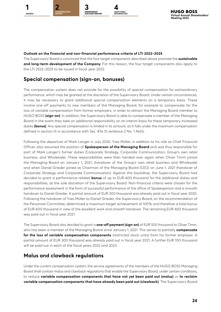

#### **Outlook on the financial and non-financial performance criteria of LTI 2022–2025**

The Supervisory Board is convinced that the four target components described above promote the **sustainable and long-term development of the Company**. For this reason, the four target components also apply to the LTI 2022–2025 to be issued in fiscal year 2022.

# **Special compensation (sign-on, bonuses)**

The compensation system does not provide for the possibility of special compensation for extraordinary performance, which may be granted at the discretion of the Supervisory Board. Under certain circumstances, it may be necessary to grant additional special compensation elements on a temporary basis. These involve one-off payments to new members of the Managing Board, for example to compensate for the loss of variable compensation from former employers, in order to attract the Managing Board member to HUGO BOSS **(sign-on)**. In addition, the Supervisory Board is able to compensate a member of the Managing Board in the event they take on additional responsibility on an interim basis for these temporary increased duties **(bonus)**. Any special compensation is limited in its amount, as it falls under the maximum compensation defined in section III in accordance with Sec. 87a (1) sentence 2 No. 1 AktG.

Following the departure of Mark Langer in July 2020, Yves Müller, in addition to his role as Chief Financial Officer, also assumed the position of **Spokesperson of the Managing Board** and was thus responsible for part of Mark Langer's former duties (Corporate Strategy, Corporate Communication, Group's own retail business, and Wholesale). These responsibilities were then handed over again when Oliver Timm joined the Managing Board on January 1, 2021, (handover of the Group's own retail business and Wholesale) and when Daniel Grieder joined as Chairman of the Managing Board (CEO) on June 1, 2021 (handover of Corporate Strategy and Corporate Communication). Against this backdrop, the Supervisory Board had decided to grant a performance-related **bonus** of up to EUR 600 thousand for the additional duties and responsibilities, at the sole discretion of the Supervisory Board. Non-financial criteria were chosen for the performance assessment in the form of successful performance of the office of Spokesperson and a smooth handover to Daniel Grieder. A partial amount of EUR 200 thousand was already paid out in fiscal year 2020. Following the handover of Yves Müller to Daniel Grieder, the Supervisory Board, on the recommendation of the Personnel Committee, determined a maximum target achievement of 100% and therefore a total bonus of EUR 600 thousand in view of the excellent work and smooth handover. The remaining EUR 400 thousand was paid out in fiscal year 2021.

The Supervisory Board also decided to grant a **one-off payment (sign-on)** of EUR 500 thousand to Oliver Timm, who has been a member of the Managing Board since January 1, 2021. This serves to partially **compensate for the loss of variable compensation components** (restricted stock units) from his former employer. A partial amount of EUR 300 thousand was already paid out in fiscal year 2021. A further EUR 100 thousand will be paid out in each of the fiscal years 2022 and 2023.

# **Malus and clawback regulations**

Under the current compensation system, the service agreements of the members of the HUGO BOSS Managing Board shall contain malus and clawback regulations that enable the Supervisory Board, under certain conditions, to reduce **variable compensation components that have not yet been paid out (malus)** or **to reclaim variable compensation components that have already been paid out (clawback)**. The Supervisory Board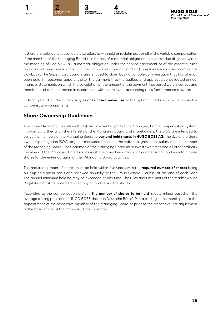

is therefore able, at its reasonable discretion, to withhold or reclaim part or all of the variable compensation if the member of the Managing Board is in breach of a material obligation to exercise due diligence within the meaning of Sec. 93 AktG, a material obligation under the service agreement or of the essential rules and conduct principles laid down in the Company's Code of Conduct (compliance malus and compliance clawback). The Supervisory Board is also entitled to claim back a variable compensation that has already been paid if it becomes apparent after the payment that the audited and approved consolidated annual financial statements on which the calculation of the amount of the payment was based were incorrect and therefore had to be corrected in accordance with the relevant accounting rules (performance clawback).

In fiscal year 2021, the Supervisory Board **did not make use** of the option to reduce or reclaim variable compensation components.

# **Share Ownership Guidelines**

The Share Ownership Guidelines (SOG) are an essential part of the Managing Board compensation system. In order to further align the interests of the Managing Board and shareholders, the SOG are intended to oblige the members of the Managing Board to **buy and hold shares in HUGO BOSS AG**. The size of the share ownership obligation (SOG target) is measured based on the individual gross base salary of each member of the Managing Board. The Chairman of the Managing Board must invest two times and all other ordinary members of the Managing Board must invest one time their gross basic compensation and maintain these shares for the entire duration of their Managing Board activities.

The required number of shares must be held within five years, with the **required number of shares** being built up on a linear basis and reviewed annually by the Group General Counsel at the end of each year. The annual minimum holding may be exceeded at any time. The rules and time limits of the Market Abuse Regulation must be observed when buying and selling the shares.

According to the compensation system, **the number of shares to be held** is determined based on the average closing price of the HUGO BOSS shares in Deutsche Börse's Xetra trading in the month prior to the appointment of the respective member of the Managing Board or prior to the respective last adjustment of the basic salary of the Managing Board member.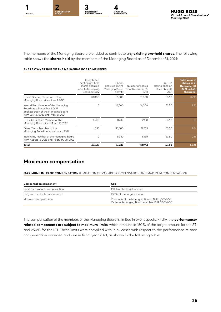

The members of the Managing Board are entitled to contribute any **existing pre-held shares**. The following table shows the **shares held** by the members of the Managing Board as of December 31, 2021:

#### **SHARE OWNERSHIP OF THE MANAGING BOARD MEMBERS**

|                                                                                                                                                     | Contributed<br>existing pre-held<br>shares acquired<br>prior to Managing<br>Board activity | Shares<br>acquired during<br>Managing Board<br>activity | Number of shares<br>as of December 31,<br>2021 | <b>XETRA</b><br>closing price on<br>December 30.<br>2021 | <b>Total value of</b><br>shares as of<br>December 31,<br><b>2021 (in EUR)</b><br>thousand) |
|-----------------------------------------------------------------------------------------------------------------------------------------------------|--------------------------------------------------------------------------------------------|---------------------------------------------------------|------------------------------------------------|----------------------------------------------------------|--------------------------------------------------------------------------------------------|
| Daniel Grieder, Chairman of the<br>Managing Board since June 1, 2021                                                                                | 40.000                                                                                     | 31,000                                                  | 71.000                                         | 53.50                                                    | 3,799                                                                                      |
| Yves Müller, Member of the Managing<br>Board since December 1, 2017.<br>Spokesperson of the Managing Board<br>from July 16, 2020 until May 31, 2021 | $\Omega$                                                                                   | 16.000                                                  | 16.000                                         | 53.50                                                    | 856                                                                                        |
| Dr. Heiko Schäfer, Member of the<br>Managing Board since March 16, 2020                                                                             | 1.500                                                                                      | 8.430                                                   | 9,930                                          | 53.50                                                    | 531                                                                                        |
| Oliver Timm, Member of the<br>Managing Board since January 1, 2021                                                                                  | 1.333                                                                                      | 16,500                                                  | 17.833                                         | 53.50                                                    | 954                                                                                        |
| Ingo Wilts, Member of the Managing Board<br>from August 15, 2016 until February 28, 2022                                                            | 0                                                                                          | 5,350                                                   | 5,350                                          | 53.50                                                    | 286                                                                                        |
| Total                                                                                                                                               | 42,833                                                                                     | 77,280                                                  | 120,113                                        | 53.50                                                    | 6,426                                                                                      |

## **Maximum compensation**

**MAXIMUM LIMITS OF COMPENSATION** (LIMITATION OF VARIABLE COMPENSATION AND MAXIMUM COMPENSATION)

| <b>Compensation component</b>    | Cap                                                                                             |  |  |  |  |
|----------------------------------|-------------------------------------------------------------------------------------------------|--|--|--|--|
| Short-term variable compensation | 150% of the target amount                                                                       |  |  |  |  |
| Long-term variable compensation  | 250% of the target amount                                                                       |  |  |  |  |
| Maximum compensation             | Chairman of the Managing Board: EUR 11,000,000<br>Ordinary Managing Board member: EUR 5,500,000 |  |  |  |  |

The compensation of the members of the Managing Board is limited in two respects. Firstly, the **performancerelated components are subject to maximum limits**, which amount to 150% of the target amount for the STI and 250% for the LTI. These limits were complied with in all cases with respect to the performance-related compensation awarded and due in fiscal year 2021, as shown in the following table: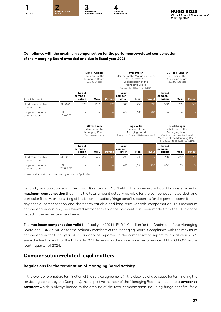

#### **Compliance with the maximum compensation for the performance-related compensation of the Managing Board awarded and due in fiscal year 2021**

|                                     |                 | <b>Daniel Grieder</b><br>Chairman of the<br>Managing Board<br>(since June 1, 2021) |       |                                                                                                        | <b>Yves Müller</b><br>Member of the Managing Board<br>(since December 1, 2017)<br>Spokesperson of the<br>Managing Board<br>(from July 16, 2020 until May 31, 2021) |       |                                                                                                                                                                                  | Dr. Heiko Schäfer<br>Member of the<br>Managing Board<br>(since March 16, 2020) |       |        |
|-------------------------------------|-----------------|------------------------------------------------------------------------------------|-------|--------------------------------------------------------------------------------------------------------|--------------------------------------------------------------------------------------------------------------------------------------------------------------------|-------|----------------------------------------------------------------------------------------------------------------------------------------------------------------------------------|--------------------------------------------------------------------------------|-------|--------|
| (in EUR thousand)                   |                 | <b>Target</b><br>compen-<br>sation                                                 | Max.  | Payout                                                                                                 | <b>Target</b><br>compen-<br>sation                                                                                                                                 | Max.  | Payout                                                                                                                                                                           | <b>Target</b><br>compen-<br>sation                                             | Max.  | Payout |
| Short-term variable<br>compensation | STI 2021        | 875                                                                                | 1,313 | 1,212                                                                                                  | 500                                                                                                                                                                | 750   | 693                                                                                                                                                                              | 500                                                                            | 750   | 693    |
| Long-term variable<br>compensation  | T <br>2018-2021 |                                                                                    |       |                                                                                                        | 654                                                                                                                                                                | 1,635 | 294                                                                                                                                                                              |                                                                                |       |        |
|                                     |                 | Oliver Timm<br>Member of the<br>Managing Board<br>(since January 1, 2021)          |       | <b>Ingo Wilts</b><br>Member of the<br>Managing Board<br>(from August 15, 2016 until February 28, 2022) |                                                                                                                                                                    |       | <b>Mark Langer</b><br>Chairman of the<br>Managing Board<br>(from May 19, 2016 until July 15, 2020)<br>Member of the Managing Board<br>(from January 15, 2010 until May 18, 2016) |                                                                                |       |        |
|                                     |                 | <b>Target</b><br>compen-<br>sation                                                 | Max.  | Payout                                                                                                 | <b>Target</b><br>compen-<br>sation                                                                                                                                 | Max.  | Payout                                                                                                                                                                           | <b>Target</b><br>compen-<br>sation                                             | Max.  | Payout |
| Short-term variable<br>compensation | STI 2021        | 650                                                                                | 975   | 900                                                                                                    | 490                                                                                                                                                                | 735   | 679                                                                                                                                                                              | 750                                                                            | 7251  | 725    |
| Long-term variable<br>compensation  | T <br>2018-2021 |                                                                                    |       |                                                                                                        | 638                                                                                                                                                                | 1,594 | 286                                                                                                                                                                              | 900                                                                            | 2,250 | 404    |

**1** In accordance with the separation agreement of April 2020.

Secondly, in accordance with Sec. 87a (1) sentence 2 No. 1 AktG, the Supervisory Board has determined a **maximum compensation** that limits the total amount actually payable for the compensation awarded for a particular fiscal year, consisting of basic compensation, fringe benefits, expenses for the pension commitment, any special compensation and short-term variable and long-term variable compensation. This maximum compensation can only be reviewed retrospectively once payment has been made from the LTI tranche issued in the respective fiscal year.

The **maximum compensation valid** for fiscal year 2021 is EUR 11.0 million for the Chairman of the Managing Board and EUR 5.5 million for the ordinary members of the Managing Board. Compliance with the maximum compensation for fiscal year 2021 can only be reported in the compensation report for fiscal year 2024, since the final payout for the LTI 2021–2024 depends on the share price performance of HUGO BOSS in the fourth quarter of 2024.

### **Compensation-related legal matters**

#### **Regulations for the termination of Managing Board activity**

In the event of premature termination of the service agreement (in the absence of due cause for terminating the service agreement by the Company), the respective member of the Managing Board is entitled to a **severance payment** which is always limited to the amount of the total compensation, including fringe benefits, for a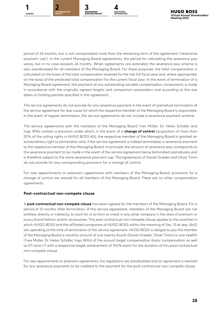





period of 24 months, but is not compensated more than the remaining term of the agreement ("severance payment cap"). In the current Managing Board agreements, the period for calculating the severance pay varies, but in no case exceeds 24 months. When agreements are extended, the severance pay scheme is also standardized for all members of the Managing Board. For these purposes, the total compensation is calculated on the basis of the total compensation received for the last full fiscal year and, where appropriate, on the basis of the predicted total compensation for the current fiscal year. In the event of termination of a Managing Board agreement, the payment of any outstanding variable compensation components is made in accordance with the originally agreed targets and comparison parameters and according to the due dates or holding periods specified in the agreement.

The service agreements do not provide for any severance payment in the event of premature termination of the service agreement for due cause for which the respective member of the Managing Board is responsible. In the event of regular termination, the service agreements do not include a severance payment scheme.

The service agreements with the members of the Managing Board Yves Müller, Dr. Heiko Schäfer and Ingo Wilts contain a provision under which, in the event of a **change of control** (acquisition of more than 30% of the voting rights in HUGO BOSS AG), the respective member of the Managing Board is granted an extraordinary right to termination and, if the service agreement is indeed terminated, a severance payment to the respective member of the Managing Board. In principle, the amount of severance pay corresponds to the severance payment to be made in the event of the service agreement being terminated prematurely and is therefore subject to the same severance payment cap. The agreements of Daniel Grieder and Oliver Timm do not provide for any corresponding provisions for a change of control.

For new appointments or extension agreements with members of the Managing Board, provisions for a change of control are waived for all members of the Managing Board. There are no other compensation agreements.

#### **Post-contractual non-compete clause**

A **post-contractual non-compete clause** has been agreed for the members of the Managing Board. For a period of 12 months after termination of the service agreement, members of the Managing Board are not entitled, directly or indirectly, to work for or to form or invest in any other company in the area of premium or luxury brand fashion and/or accessories. This post-contractual non-compete clause applies to the countries in which HUGO BOSS and the affiliated companies of HUGO BOSS within the meaning of Sec. 15 et seq. AktG are operating at the time of termination of the service agreement. HUGO BOSS is obliged to pay the member of the Managing Board a monthly amount of one twenty-fourth (Daniel Grieder, Oliver Timm) or one twelfth (Yves Müller, Dr. Heiko Schäfer, Ingo Wilts) of the annual target compensation (basic compensation as well as STI and LTI with a respective target achievement of 100% each) for the duration of this post-contractual non-compete clause.

For new appointments or extension agreements, the regulations are standardized and an agreement is reached for any severance payments to be credited to the payment for the post-contractual non-compete clause.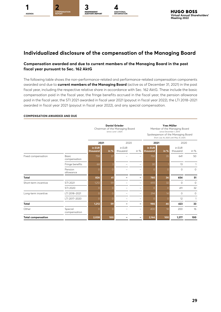

# **Individualized disclosure of the compensation of the Managing Board**

#### **Compensation awarded and due to current members of the Managing Board in the past fiscal year pursuant to Sec. 162 AktG**

The following table shows the non-performance-related and performance-related compensation components awarded and due to **current members of the Managing Board** (active as of December 31, 2021) in the past fiscal year, including the respective relative share in accordance with Sec. 162 AktG. These include the basic compensation paid in the fiscal year, the fringe benefits accrued in the fiscal year, the pension allowance paid in the fiscal year, the STI 2021 awarded in fiscal year 2021 (payout in fiscal year 2022), the LTI 2018–2021 awarded in fiscal year 2021 (payout in fiscal year 2022), and any special compensation.

|                           |                              | <b>Daniel Grieder</b><br>Chairman of the Managing Board<br>(since June 1, 2021) |                |                    |                          | <b>Yves Müller</b><br>Member of the Managing Board<br>(since December 1, 2017)<br>Spokesperson of the Managing Board<br>(from July 16, 2020 until May 31, 2021) |          |                    |         |
|---------------------------|------------------------------|---------------------------------------------------------------------------------|----------------|--------------------|--------------------------|-----------------------------------------------------------------------------------------------------------------------------------------------------------------|----------|--------------------|---------|
|                           |                              | 2021                                                                            |                | 2020               |                          | 2021                                                                                                                                                            |          | 2020               |         |
|                           |                              | in EUR<br>thousand                                                              | in $%$         | in FUR<br>thousand | in $%$                   | in EUR<br>thousand                                                                                                                                              | in $%$   | in EUR<br>thousand | in %    |
| Fixed compensation        | <b>Basic</b><br>compensation | 758                                                                             | 37             |                    | -                        | 750                                                                                                                                                             | 35       | 641                | 50      |
|                           | Fringe benefits              | 68                                                                              | $\overline{3}$ |                    | -                        | 30                                                                                                                                                              |          | 13                 | 1       |
|                           | Pension<br>allowance         | 0                                                                               | $\overline{O}$ |                    |                          | $\Omega$                                                                                                                                                        | $\Omega$ | $\circ$            | $\circ$ |
| Total                     |                              | 826                                                                             | 41             |                    | -                        | 780                                                                                                                                                             | 36       | 654                | 51      |
| Short-term incentive      | STI 2021                     | 1,212                                                                           | 59             |                    | -                        | 693                                                                                                                                                             | 32       | $\circ$            | $\circ$ |
|                           | STI 2020                     | 0                                                                               | $\Omega$       |                    | $\overline{\phantom{0}}$ | $\Omega$                                                                                                                                                        | $\Omega$ | 411                | 32      |
| Long-term incentive       | LTI 2018-2021                | $\circ$                                                                         | $\Omega$       |                    | $\overline{\phantom{m}}$ | 294                                                                                                                                                             | 14       | 0                  | $\circ$ |
|                           | LTI 2017-2020                | $\circ$                                                                         | $\circ$        |                    | -                        | $\Omega$                                                                                                                                                        | $\Omega$ | 12                 | 1       |
| <b>Total</b>              |                              | 1,212                                                                           | 59             |                    | -                        | 986                                                                                                                                                             | 46       | 423                | 33      |
| Other                     | Special<br>compensation      | 0                                                                               | $\circ$        |                    | -                        | 400                                                                                                                                                             | 18       | 200                | 16      |
| <b>Total compensation</b> |                              | 2,038                                                                           | 100<br>-       |                    |                          | 2,166                                                                                                                                                           | 100      | 1,277              | 100     |

#### **COMPENSATION AWARDED AND DUE**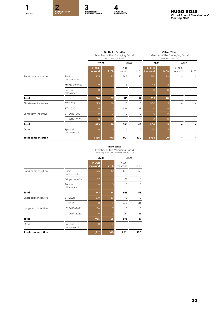

|                           |                              |                    | Dr. Heiko Schäfer<br>Member of the Managing Board<br>(since March 16, 2020) |                    |         |                    | <b>Oliver Timm</b><br>Member of the Managing Board<br>(since January 1, 2021) |                    |        |  |
|---------------------------|------------------------------|--------------------|-----------------------------------------------------------------------------|--------------------|---------|--------------------|-------------------------------------------------------------------------------|--------------------|--------|--|
|                           |                              | 2021               |                                                                             | 2020               |         | 2021               |                                                                               | 2020               |        |  |
|                           |                              | in EUR<br>thousand | in $%$                                                                      | in EUR<br>thousand | in $%$  | in EUR<br>thousand | in $%$                                                                        | in EUR<br>thousand | in $%$ |  |
| Fixed compensation        | <b>Basic</b><br>compensation | 725                | 50                                                                          | 509                | 57      | 750                | 38                                                                            |                    |        |  |
|                           | Fringe benefits              | 19                 |                                                                             | 5                  | 1       | 45                 | 2                                                                             |                    |        |  |
|                           | Pension<br>allowance         | 0                  | $\Omega$                                                                    | $\circ$            | $\circ$ | 0                  | $\Omega$                                                                      |                    |        |  |
| Total                     |                              | 744                | 52                                                                          | 515                | 57      | 795                | 40                                                                            |                    |        |  |
| Short-term incentive      | STI 2021                     | 693                | 48                                                                          | $\circ$            | $\circ$ | 900                | 45                                                                            |                    |        |  |
|                           | STI 2020                     | $\Omega$           | $\Omega$                                                                    | 386                | 43      | $\Omega$           | ი                                                                             |                    |        |  |
| Long-term incentive       | LTI 2018-2021                | $\Omega$           | $\Omega$                                                                    | $\circ$            | $\circ$ | $\Omega$           | 0                                                                             |                    |        |  |
|                           | LTI 2017-2020                | $\circ$            | $\Omega$                                                                    | $\circ$            | 0       | $\Omega$           | 0                                                                             |                    |        |  |
| Total                     |                              | 693                | 48                                                                          | 386                | 43      | 900                | 45                                                                            |                    |        |  |
| Other                     | Special<br>compensation      | $\Omega$           | $\overline{O}$                                                              | $\circ$            | $\circ$ | 300                | 15                                                                            |                    |        |  |
| <b>Total compensation</b> |                              | 1,436              | 100                                                                         | 901                | 100     | 1,995              | 100                                                                           |                    |        |  |

#### **Ingo Wilts**

Member of the Managing Board (from August 15, 2016 until February 28, 2022)

|                           |                              |                    | 2021     | 2020               |          |
|---------------------------|------------------------------|--------------------|----------|--------------------|----------|
|                           |                              | in EUR<br>thousand | in %     | in EUR<br>thousand | in $%$   |
| Fixed compensation        | <b>Basic</b><br>compensation | 725                | 42       | 653                | 52       |
|                           | Fringe benefits              | 22                 |          | 12                 | 1        |
|                           | Pension<br>allowance         | $\Omega$           | $\Omega$ |                    | $\circ$  |
| <b>Total</b>              |                              | 747                | 44       | 665                | 53       |
| Short-term incentive      | STI 2021                     | 679                | 40       | $\Omega$           | $\circ$  |
|                           | STI 2020                     | $\Omega$           | $\Omega$ | 434                | 34       |
| Long-term incentive       | LTI 2018-2021                | 286                | 17       | $\Omega$           | $\circ$  |
|                           | LTI 2017-2020                | $\Omega$           | $\Omega$ | 161                | 13       |
| <b>Total</b>              |                              | 965                | 56       | 595                | 47       |
| Other                     | Special<br>compensation      | $\Omega$           | $\Omega$ | $\Omega$           | $\Omega$ |
| <b>Total compensation</b> |                              | 1,712              | 100      | 1,261              | 100      |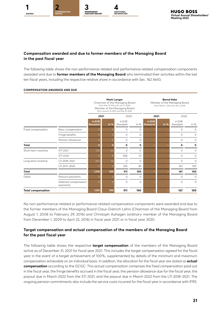

#### **Compensation awarded and due to former members of the Managing Board in the past fiscal year**

The following table shows the non-performance-related and performance-related compensation components awarded and due to **former members of the Managing Board** who terminated their activities within the last ten fiscal years, including the respective relative share in accordance with Sec. 162 AktG:

#### **COMPENSATION AWARDED AND DUE**

|                           |                                   |                    |              | <b>Mark Langer</b><br>Chairman of the Managing Board<br>(from May 19, 2016 until July 15, 2020)<br>Member of the Managing Board<br>(from January 15, 2010 until May 18, 2016) |          | <b>Bernd Hake</b><br>Member of the Managing Board<br>(from March 1, 2016 until July 2, 2019) |        |                    |          |  |
|---------------------------|-----------------------------------|--------------------|--------------|-------------------------------------------------------------------------------------------------------------------------------------------------------------------------------|----------|----------------------------------------------------------------------------------------------|--------|--------------------|----------|--|
|                           |                                   |                    | 2021<br>2020 |                                                                                                                                                                               |          | 2021                                                                                         |        | 2020               |          |  |
|                           |                                   | in EUR<br>thousand | in $%$       | in FUR<br>thousand                                                                                                                                                            | in $%$   | in EUR<br>thousand                                                                           | in $%$ | in FUR<br>thousand | in $%$   |  |
| Fixed compensation        | Basic compensation                | 0                  | Ω            | $\circ$                                                                                                                                                                       | 0        |                                                                                              |        | $\circ$            | $\circ$  |  |
|                           | Fringe benefits                   | $\Omega$           | $\Omega$     | $\circ$                                                                                                                                                                       | 0        |                                                                                              |        | 0                  | $\circ$  |  |
|                           | Pension allowance                 | 0                  | $\Omega$     | $\circ$                                                                                                                                                                       | 0        |                                                                                              |        | $\circ$            | $\circ$  |  |
| Total                     |                                   | Ō                  | $\mathbf{o}$ | 0                                                                                                                                                                             | 0        |                                                                                              |        | 0                  | 0        |  |
| Short-term incentive      | STI 2021                          | 725                | 64           | $\circ$                                                                                                                                                                       | 0        |                                                                                              |        | 0                  | $\circ$  |  |
|                           | STI 2020                          | $\Omega$           | 0            | 656                                                                                                                                                                           | 72       |                                                                                              |        | $\circ$            | $\circ$  |  |
| Long-term incentive       | I TI 2018-2021                    | 404                | 36           | $\circ$                                                                                                                                                                       | $\Omega$ |                                                                                              |        | $\Omega$           | $\circ$  |  |
|                           | LTI 2017-2020                     | 0                  | $\circ$      | 255                                                                                                                                                                           | 28       |                                                                                              |        | 167                | 100      |  |
| Total                     |                                   | 1,129              | 100          | 911                                                                                                                                                                           | 100      |                                                                                              |        | 167                | 100      |  |
| Other                     | Pension payments                  | 0                  | $\Omega$     | $\circ$                                                                                                                                                                       | $\Omega$ |                                                                                              |        | $\Omega$           | $\Omega$ |  |
|                           | Deferred compensation<br>payments | $\Omega$           | $\Omega$     | $\circ$                                                                                                                                                                       | $\circ$  |                                                                                              |        | $\circ$            | $\Omega$ |  |
| <b>Total compensation</b> |                                   | 1,129              | 100          | 911                                                                                                                                                                           | 100      |                                                                                              |        | 167                | 100      |  |

No non-performance-related or performance-related compensation components were awarded and due to the former members of the Managing Board Claus-Dietrich Lahrs (Chairman of the Managing Board from August 1, 2008 to February 29, 2016) and Christoph Auhagen (ordinary member of the Managing Board from December 1, 2009 to April 22, 2016) in fiscal year 2021 or in fiscal year 2020.

#### **Target compensation and actual compensation of the members of the Managing Board for the past fiscal year**

The following table shows the respective **target compensation** of the members of the Managing Board active as of December 31, 2021 for fiscal year 2021. This includes the target compensation agreed for the fiscal year in the event of a target achievement of 100%, supplemented by details of the minimum and maximum compensation achievable on an individual basis. In addition, the allocation for the fiscal year are stated as **actual compensation** according to the GCGC. This actual compensation comprises the fixed compensation paid out in the fiscal year, the fringe benefits accrued in the fiscal year, the pension allowance due for the fiscal year, the payout due in March 2022 from the STI 2021, and the payout due in March 2022 from the LTI 2018–2021. The ongoing pension commitments also include the service costs incurred for the fiscal year in accordance with IFRS.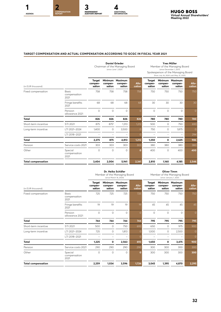

#### **TARGET COMPENSATION AND ACTUAL COMPENSATION ACCORDING TO GCGC IN FISCAL YEAR 2021**

|                           |                                      | <b>Daniel Grieder</b><br>Chairman of the Managing Board<br>(since June 1, 2021) |                              |                              |                 | <b>Yves Müller</b><br>Member of the Managing Board<br>(since December 1, 2017)<br>Spokesperson of the Managing Board<br>(from July 16, 2020 until May 31, 2021) |                   |                                      |                 |
|---------------------------|--------------------------------------|---------------------------------------------------------------------------------|------------------------------|------------------------------|-----------------|-----------------------------------------------------------------------------------------------------------------------------------------------------------------|-------------------|--------------------------------------|-----------------|
| (in EUR thousand)         |                                      | <b>Target</b><br>compen-<br>sation                                              | Minimum<br>compen-<br>sation | Maximum<br>compen-<br>sation | Allo-<br>cation | <b>Target</b><br>compen-<br>sation                                                                                                                              | compen-<br>sation | Minimum Maximum<br>compen-<br>sation | Allo-<br>cation |
| Fixed compensation        | <b>Basic</b><br>compensation<br>2021 | 758                                                                             | 758                          | 758                          | 758             | 750                                                                                                                                                             | 750               | 750                                  | 750             |
|                           | Fringe benefits<br>2021              | 68                                                                              | 68                           | 68                           | 68              | 30                                                                                                                                                              | 30                | 30                                   | 30              |
|                           | Pension<br>allowance 2021            | $\circ$                                                                         | $\circ$                      | $\circ$                      | $\Omega$        | $\circ$                                                                                                                                                         | $\circ$           | $\circ$                              | $\Omega$        |
| <b>Total</b>              |                                      | 826                                                                             | 826                          | 826                          | 826             | 780                                                                                                                                                             | 780               | 780                                  | 780             |
| Short-term incentive      | STI 2021                             | 875                                                                             | 8751                         | 1,313                        | 1,212           | 500                                                                                                                                                             | 0                 | 750                                  | 693             |
| Long-term incentive       | LTI 2021-2024                        | 1,400                                                                           | 0                            | 3,500                        | $\Omega$        | 750                                                                                                                                                             | 0                 | 1,875                                | $\Omega$        |
|                           | LTI 2018-2021                        |                                                                                 | $\equiv$                     | -                            | $\Omega$        |                                                                                                                                                                 | $\equiv$          | -                                    | 294             |
| <b>Total</b>              |                                      | 2,275                                                                           | 875                          | 4,813                        | 1,212           | 1,250                                                                                                                                                           | 0                 | 2,625                                | 986             |
| Pension                   | Service costs 2021                   | 303                                                                             | 303                          | 303                          | 303             | 380                                                                                                                                                             | 380               | 380                                  | 380             |
| Other                     | Special<br>compensation<br>2021      | $\circ$                                                                         | $\circ$                      | $\circ$                      | ٥               | 400                                                                                                                                                             | $\circ$           | 400                                  | 400             |
| <b>Total compensation</b> |                                      | 3,404                                                                           | 2,004                        | 5,941                        | 2,341           | 2,810                                                                                                                                                           | 1,160             | 4,185                                | 2,546           |

|                           |                                      | Dr. Heiko Schäfer<br>Member of the Managing Board<br>(since March 16, 2020) |                              |                              |                 | <b>Oliver Timm</b><br>Member of the Managing Board<br>(since January 1, 2021) |                   |                                      |                 |
|---------------------------|--------------------------------------|-----------------------------------------------------------------------------|------------------------------|------------------------------|-----------------|-------------------------------------------------------------------------------|-------------------|--------------------------------------|-----------------|
| (in EUR thousand)         |                                      | Target<br>compen-<br>sation                                                 | Minimum<br>compen-<br>sation | Maximum<br>compen-<br>sation | Allo-<br>cation | Target<br>compen-<br>sation                                                   | compen-<br>sation | Minimum Maximum<br>compen-<br>sation | Allo-<br>cation |
| Fixed compensation        | <b>Basic</b><br>compensation<br>2021 | 725                                                                         | 725                          | 725                          | 725             | 750                                                                           | 750               | 750                                  | 750             |
|                           | Fringe benefits<br>2021              | 19                                                                          | 19                           | 19                           | 19              | 45                                                                            | 45                | 45                                   | 45              |
|                           | Pension<br>allowance 2021            | $\circ$                                                                     | $\circ$                      | $\Omega$                     | $\Omega$        | $\circ$                                                                       | 0                 | 0                                    | 0               |
| <b>Total</b>              |                                      | 744                                                                         | 744                          | 744                          | 744             | 795                                                                           | 795               | 795                                  | 795             |
| Short-term incentive      | STI 2021                             | 500                                                                         | 0                            | 750                          | 693             | 650                                                                           | 0                 | 975                                  | 900             |
| Long-term incentive       | LTI 2021-2024                        | 725                                                                         | 0                            | 1,813                        | $\Omega$        | 1,000                                                                         | 0                 | 2,500                                | $\Omega$        |
|                           | LTI 2018-2021                        |                                                                             |                              |                              | $\Omega$        |                                                                               |                   |                                      | $\Omega$        |
| <b>Total</b>              |                                      | 1,225                                                                       | 0                            | 2,563                        | 693             | 1,650                                                                         | 0                 | 3,475                                | 900             |
| Pension                   | Service costs 2021                   | 290                                                                         | 290                          | 290                          | 290             | 300                                                                           | 300               | 300                                  | 300             |
| Other                     | Special<br>compensation<br>2021      | $\Omega$                                                                    | $\circ$                      | $\Omega$                     | $\Omega$        | 300                                                                           | 300               | 300                                  | 300             |
| <b>Total compensation</b> |                                      | 2,259                                                                       | 1,034                        | 3,596                        | 1,726           | 3,045                                                                         | 1,395             | 4,870                                | 2,295           |

**32**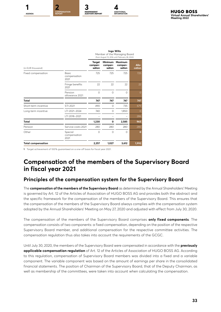

**Ingo Wilts** Member of the Managing Board

|                           |                                      |                                    |                                     | (from August 15, 2016 until February 28, 2022) |                 |  |  |
|---------------------------|--------------------------------------|------------------------------------|-------------------------------------|------------------------------------------------|-----------------|--|--|
| (in EUR thousand)         |                                      | <b>Target</b><br>compen-<br>sation | <b>Minimum</b><br>compen-<br>sation | <b>Maximum</b><br>compen-<br>sation            | Allo-<br>cation |  |  |
| Fixed compensation        | <b>Basic</b><br>compensation<br>2021 | 725                                | 725                                 | 725                                            | 725             |  |  |
|                           | Fringe benefits<br>2021              | 22                                 | 22                                  | 22                                             | 22              |  |  |
|                           | Pension<br>allowance 2021            | $\Omega$                           | $\Omega$                            | $\Omega$                                       | $\Omega$        |  |  |
| Total                     |                                      | 747                                | 747                                 | 747                                            | 747             |  |  |
| Short-term incentive      | STI 2021                             | 490                                | $\circ$                             | 735                                            | 679             |  |  |
| Long-term incentive       | LTI 2021-2024                        | 740                                | 0                                   | 1,850                                          | $\circ$         |  |  |
|                           | LTI 2018-2021                        |                                    |                                     |                                                | 286             |  |  |
| Total                     |                                      | 1,230                              | О                                   | 2,585                                          | 965             |  |  |
| Pension                   | Service costs 2021                   | 280                                | 280                                 | 280                                            | 280             |  |  |
| Other                     | Special<br>compensation<br>2021      | $\Omega$                           | $\circ$                             | $\Omega$                                       | $\mathbf{o}$    |  |  |
| <b>Total compensation</b> |                                      | 2,257                              | 1,027                               | 3,612                                          | 1,992           |  |  |

**1** Target achievement of 100% guaranteed on a one-off basis for fiscal year 2021.

# **Compensation of the members of the Supervisory Board in fiscal year 2021**

#### **Principles of the compensation system for the Supervisory Board**

The **compensation of the members of the Supervisory Board** as determined by the Annual Shareholders' Meeting is governed by Art. 12 of the Articles of Association of HUGO BOSS AG and provides both the abstract and the specific framework for the compensation of the members of the Supervisory Board. This ensures that the compensation of the members of the Supervisory Board always complies with the compensation system adopted by the Annual Shareholders' Meeting on May 27, 2020 and adjusted with effect from July 30, 2020.

The compensation of the members of the Supervisory Board comprises **only fixed components**. The compensation consists of two components: a fixed compensation, depending on the position of the respective Supervisory Board member, and additional compensation for the respective committee activities. The compensation regulation thus also takes into account the requirements of the GCGC.

Until July 30, 2020, the members of the Supervisory Board were compensated in accordance with the **previously applicable compensation regulation** of Art. 12 of the Articles of Association of HUGO BOSS AG. According to this regulation, compensation of Supervisory Board members was divided into a fixed and a variable component. The variable component was based on the amount of earnings per share in the consolidated financial statements. The position of Chairman of the Supervisory Board, that of the Deputy Chairman, as well as membership of the committees, were taken into account when calculating the compensation.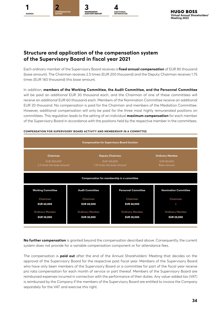

# **Structure and application of the compensation system of the Supervisory Board in fiscal year 2021**

Each ordinary member of the Supervisory Board receives a **fixed annual compensation** of EUR 80 thousand (base amount). The Chairman receives 2.5 times (EUR 200 thousand) and the Deputy Chairman receives 1.75 times (EUR 140 thousand) this base amount.

In addition, **members of the Working Committee, the Audit Committee, and the Personnel Committee** will be paid an additional EUR 30 thousand each, and the Chairman of one of these committees will receive an additional EUR 60 thousand each. Members of the Nomination Committee receive an additional EUR 20 thousand. No compensation is paid for the Chairman and members of the Mediation Committee. However, additional compensation will only be paid for the three most highly remunerated positions on committees. This regulation leads to the setting of an individual **maximum compensation** for each member of the Supervisory Board in accordance with the positions held by the respective member in the committees.



#### **COMPENSATION FOR SUPERVISORY BOARD ACTIVITY AND MEMBERSHIP IN A COMMITTEE**

**No further compensation** is granted beyond the compensation described above. Consequently, the current system does not provide for a variable compensation component or for attendance fees.

The compensation is **paid out** after the end of the Annual Shareholders' Meeting that decides on the approval of the Supervisory Board for the respective past fiscal year. Members of the Supervisory Board who have only been members of the Supervisory Board or a committee for part of the fiscal year receive pro rata compensation for each month of service or part thereof. Members of the Supervisory Board are reimbursed expenses incurred in connection with the performance of their duties. Any value-added tax (VAT) is reimbursed by the Company if the members of the Supervisory Board are entitled to invoice the Company separately for the VAT and exercise this right.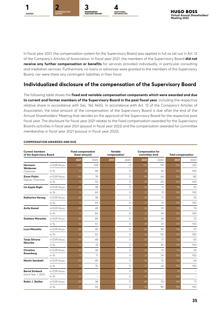





In fiscal year 2021, the compensation system for the Supervisory Board was applied in full as set out in Art. 12 of the Company's Articles of Association. In fiscal year 2021, the members of the Supervisory Board **did not receive any further compensation or benefits** for services provided individually, in particular consulting and mediation services. Furthermore, no loans or advances were granted to the members of the Supervisory Board, nor were there any contingent liabilities in their favor.

# **Individualized disclosure of the compensation of the Supervisory Board**

The following table shows the **fixed and variable compensation components which were awarded and due to current and former members of the Supervisory Board in the past fiscal year**, including the respective relative share in accordance with Sec. 162 AktG. In accordance with Art. 12 of the Company's Articles of Association, the total amount of the compensation of the Supervisory Board is due after the end of the Annual Shareholders' Meeting that decides on the approval of the Supervisory Board for the respective past fiscal year. The disclosure for fiscal year 2021 relates to the fixed compensation awarded for the Supervisory Board's activities in fiscal year 2021 (payout in fiscal year 2022) and the compensation awarded for committee membership in fiscal year 2021 (payout in fiscal year 2022).

| <b>Current members</b><br>of the Supervisory Board |               | <b>Fixed compensation</b><br>(base amount) |          |      | Variable<br>compensation <sup>1</sup> |      | <b>Compensation for</b><br>committee work | <b>Total compensation</b> |                  |
|----------------------------------------------------|---------------|--------------------------------------------|----------|------|---------------------------------------|------|-------------------------------------------|---------------------------|------------------|
|                                                    |               | 2021                                       | 2020     | 2021 | 2020                                  | 2021 | 2020                                      | 2021                      | 2020             |
| Hermann                                            | in EUR thous. | 200                                        | 108      |      | $\Omega$                              | 150  | 115                                       | 350                       | 223              |
| Waldemer<br>Chairman                               | in %          | 57                                         | 48       |      | $\Omega$                              | 43   | 52                                        | 100                       | 100              |
| <b>Sinan Piskin</b><br>Deputy Chairman             | in EUR thous. | 140                                        | 78       |      | $\circ$                               | 90   | 64                                        | 230                       | 142              |
|                                                    | in %          | 61                                         | 55       |      | $\Omega$                              | 39   | 45                                        | 100                       | 100              |
| Iris Epple-Righi                                   | in EUR thous. | 80                                         | 38       |      | $\Omega$                              | 30   | 17                                        | 110                       | 55               |
|                                                    | in $%$        | 73                                         | 69       |      | $\Omega$                              | 27   | 31                                        | 100                       | 100              |
| Katharina Herzog                                   | in EUR thous. | 80                                         | 38       |      | $\Omega$                              | 30   | 17                                        | 110                       | 55               |
|                                                    | in $%$        | 73                                         | 69       |      | $\Omega$                              | 27   | 31                                        | 100                       | 100              |
| <b>Anita Kessel</b>                                | in FUR thous. | 80                                         | 48       |      | $\Omega$                              | 30   | 25                                        | 110                       | 74               |
|                                                    | in $%$        | 73                                         | 66       |      | $\circ$                               | 27   | 34                                        | 100                       | 100              |
| <b>Gaetano Marzotto</b>                            | in EUR thous. | 80                                         | 48       |      | $\Omega$                              | 50   | 24                                        | 130                       | 72               |
|                                                    | in $%$        | 62                                         | 67       |      | $\circ$                               | 38   | 33                                        | 100                       | 100              |
| <b>Luca Marzotto</b>                               | in EUR thous. | 80                                         | 48       |      | $\Omega$                              | 60   | 48                                        | 140                       | 97               |
|                                                    | in $%$        | 57                                         | 50       |      | $\Omega$                              | 43   | 50                                        | 100                       | 100              |
| Tanja Silvana                                      | in EUR thous. | 80                                         | 48       |      | $\Omega$                              | 30   | 17                                        | 110                       | 65               |
| <b>Nitschke</b>                                    | in $%$        | 73                                         | 74       |      | $\Omega$                              | 27   | 26                                        | 100                       | 100 <sub>o</sub> |
| Christina                                          | in EUR thous. | 80                                         | 38       |      | $\circ$                               | 30   | 15                                        | 110                       | 53               |
| Rosenberg                                          | in %          | 73                                         | 71       |      | $\Omega$                              | 27   | 29                                        | 100                       | 100 <sub>o</sub> |
| <b>Martin Sambeth</b>                              | in EUR thous. | 80                                         | 48       |      | $\Omega$                              | 30   | 15                                        | 110                       | 64               |
|                                                    | in $%$        | 73                                         | 76       |      | $\Omega$                              | 27   | 24                                        | 100                       | 100              |
| <b>Bernd Simbeck</b>                               | in EUR thous. | 27                                         | $\equiv$ |      | $\Omega$                              | 20   | ÷,                                        | 47                        |                  |
| (since Sep. 1, 2021)                               | in $%$        | 57                                         | $\equiv$ |      | $\circ$                               | 43   | ۳                                         | 100                       |                  |
| Robin J. Stalker                                   | in EUR thous. | 80                                         | 38       |      | $\Omega$                              | 60   | 33                                        | 140                       | 71               |
|                                                    | in $%$        | 57                                         | 54       |      | $\circ$                               | 43   | 46                                        | 100                       | 100              |

#### **COMPENSATION AWARDED AND DUE**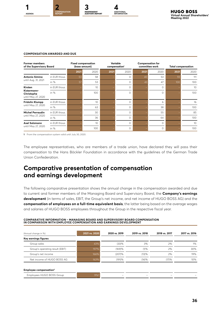



#### **COMPENSATION AWARDED AND DUE**

| <b>Former members</b><br>of the Supervisory Board          |               | <b>Fixed compensation</b><br>(base amount) |      | Variable<br>compensation <sup>1</sup> |          | <b>Compensation for</b><br>committee work |          | <b>Total compensation</b> |      |
|------------------------------------------------------------|---------------|--------------------------------------------|------|---------------------------------------|----------|-------------------------------------------|----------|---------------------------|------|
|                                                            |               | 2021                                       | 2020 | 2021                                  | 2020     | 2021                                      | 2020     | 2021                      | 2020 |
| <b>Antonio Simina</b><br>until Aug. 31, 2021               | in EUR thous. | 53                                         | 58   |                                       | $\Omega$ | 40                                        | 53       | 93                        | 111  |
|                                                            | in $%$        | 57                                         | 53   |                                       | $\Omega$ | 43                                        | 47       | 100                       | 100  |
| Kirsten<br>Kistermann-<br>Christophe<br>until May 27, 2020 | in EUR thous. |                                            | 10   |                                       | $\Omega$ |                                           | $\Omega$ |                           | 10   |
|                                                            | in $%$        |                                            | 100  |                                       | $\Omega$ |                                           | $\Omega$ |                           | 100  |
| Fridolin Klumpp                                            | in EUR thous. |                                            | 10   |                                       | $\Omega$ |                                           | 6        |                           | 16   |
| until May 27, 2020                                         | in $%$        |                                            | 63   |                                       | $\Omega$ |                                           | 38       |                           | 100  |
| <b>Michel Perraudin</b>                                    | in EUR thous. |                                            | 30   |                                       | $\Omega$ |                                           | 55       |                           | 85   |
| until May 27, 2020                                         | in $%$        |                                            | 36   |                                       | $\Omega$ |                                           | 64       |                           | 100  |
| Axel Salzmann                                              | in EUR thous. |                                            | 10   |                                       | 0        |                                           | $\Omega$ |                           | 10   |
| until May 27, 2020                                         | in $%$        |                                            | 100  |                                       | $\Omega$ |                                           | $\Omega$ |                           | 100  |

**1** From the compensation system valid until July 30, 2020.

The employee representatives, who are members of a trade union, have declared they will pass their compensation to the Hans Böckler Foundation in accordance with the guidelines of the German Trade Union Confederation.

# **Comparative presentation of compensation and earnings development**

The following comparative presentation shows the annual change in the compensation awarded and due to current and former members of the Managing Board and Supervisory Board, the **Company's earnings development** (in terms of sales, EBIT, the Group's net income, and net income of HUGO BOSS AG) and the **compensation of employees on a full-time equivalent basis**, the latter being based on the average wages and salaries of HUGO BOSS employees throughout the Group in the respective fiscal year.

| (Annual change in %)               | 2021 vs. 2020 | 2020 vs. 2019 | 2019 vs. 2018 | 2018 vs. 2017 | 2017 vs. 2016 |
|------------------------------------|---------------|---------------|---------------|---------------|---------------|
| Key earnings figures               |               |               |               |               |               |
| Group sales                        | 43%           | (33)%         | 3%            | 2%            | $1\%$         |
| Group's operating result (EBIT)    | 197%          | (169)%        | (1)%          | 2%            | 30%           |
| Group's net income                 | 166%          | (207)%        | (13)%         | 2%            | 19%           |
| Net income of HUGO BOSS AG         | 163%          | (191)%        | (14)%         | (17)%         | 10%           |
|                                    |               |               |               |               |               |
| Employee compensation <sup>1</sup> |               |               |               |               |               |
| Employees HUGO BOSS Group          | $9%^{2}$      |               |               |               |               |

# **COMPARATIVE INFORMATION – MANAGING BOARD AND SUPERVISORY BOARD COMPENSATION IN COMPARISON WITH EMPLOYEE COMPENSATION AND EARNINGS DEVELOPMENT**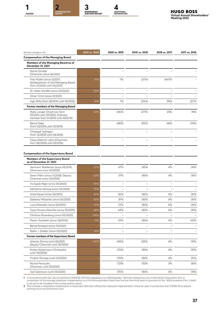





| (Annual change in %)                                                                                | 2021 vs. 2020 | 2020 vs. 2019 | 2019 vs. 2018 | 2018 vs. 2017 | 2017 vs. 2016 |
|-----------------------------------------------------------------------------------------------------|---------------|---------------|---------------|---------------|---------------|
| <b>Compensation of the Managing Board</b>                                                           |               |               |               |               |               |
| Members of the Managing Board as of<br>December 31, 2021                                            |               |               |               |               |               |
| Daniel Grieder<br>(Chairman since 06/2021)                                                          |               |               |               |               |               |
| Yves Müller (since 12/2017;<br>Spokesperson of the Managing Board<br>from 07/2020 until 05/2021)    | 70%           | 7%            | (27)%         | 1647%         |               |
| Dr. Heiko Schäfer (since 03/2020)                                                                   | 59%           |               |               |               |               |
| Oliver Timm (since 01/2021)                                                                         |               |               |               |               |               |
| Ingo Wilts (from 08/2016 until 02/2022)                                                             | 36%           | 1%            | (25)%         | 39%           | 227%          |
| Former members of the Managing Board                                                                |               |               |               |               |               |
| Mark Langer (Chairman from<br>05/2016 until 07/2020, Ordinary<br>member from 01/2010 until 2005/16) | 24%           | (46)%         | (27)%         | 25%           | 76%           |
| <b>Bernd Hake</b><br>(from 03/2016 until 07/2019)                                                   |               | (48)%         | (81)%         | 48%           | 215%          |
| Christoph Auhagen<br>(from 12/2009 until 04/2016)                                                   |               |               |               |               |               |
| Claus-Dietrich Lahrs (Chairman<br>from 08/2008 until 02/2016)                                       |               |               |               |               |               |
| <b>Members of the Supervisory Board</b><br>as of December 31, 2021                                  |               |               |               |               |               |
| Hermann Waldemer (since 05/2015;                                                                    | 57%           | 47%           | (18)%         | 4%            | (9)%          |
| Chairman since 05/2020)<br>Sinan Piskin (since 11/2008; Deputy                                      | 62%           | 37%           | (18)%         | 4%            | (9)%          |
| Chairman since 05/2020)                                                                             |               |               |               |               |               |
| Iris Epple-Righi (since 05/2020)                                                                    | 99%           |               |               |               |               |
| Katharina Herzog (since 05/2020)                                                                    | 99%           |               |               |               |               |
| Anita Kessel (since 05/2015)                                                                        | 49%           | (8)%          | (18)%         | 4%            | (9)%          |
| Gaetano Marzotto (since 02/2010)                                                                    | 80%           | 81%           | (18)%         | 4%            | (9)%          |
| Luca Marzotto (since 02/2010)                                                                       | 45%           | (7)%          | (18)%         | 4%            | (9)%          |
| Tanja Silvana Nitschke (since 05/2015)                                                              | 68%           | 64%           | (18)%         | 4%            | (9)%          |
| Christina Rosenberg (since 05/2020)                                                                 | 106%          |               |               |               |               |
| Martin Sambeth (since 08/2016)                                                                      | 73%           | 59%           | (18)%         | 4%            | 142%          |
| Bernd Simbeck (since 09/2021)                                                                       |               |               |               |               |               |
| Robin J. Stalker (since 05/2020)                                                                    | 96%           |               |               |               |               |
| Former members of the Supervisory Board                                                             |               |               |               |               |               |
| Antonio Simina (until 08/2021,<br>Deputy Chairman until 05/2020)                                    | (16)%         | (44)%         | (22)%         | 4%            | (9)%          |
| Kirsten Kistermann-Christophe<br>(until 05/2020)                                                    |               | (75)%         | (18)%         | 4%            | (9)%          |
| Fridolin Klumpp (until 05/2020)                                                                     |               | (75)%         | (18)%         | 4%            | (9)%          |
| Michel Perraudin<br>(Chairman until 05/2020)                                                        |               | (72)%         | (15)%         | 3%            | $(8)\%$       |
| Axel Salzmann (until 05/2020)                                                                       |               | (75)%         | (18)%         | 4%            | (9)%          |

1 In accordance with Sec. 26J (2) sentence 2 EGAktG ["Einführungsgesetz zum Aktiengesetz": German Introductory Act to the Stock Corporation Act], a<br>is not year of the average employee compensation on a full-time equivalent working hours and personnel costs.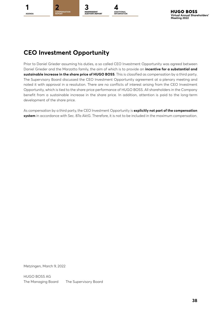

# **CEO Investment Opportunity**

Prior to Daniel Grieder assuming his duties, a so called CEO Investment Opportunity was agreed between Daniel Grieder and the Marzotto family, the aim of which is to provide an **incentive for a substantial and sustainable increase in the share price of HUGO BOSS**. This is classified as compensation by a third party. The Supervisory Board discussed the CEO Investment Opportunity agreement at a plenary meeting and noted it with approval in a resolution. There are no conflicts of interest arising from the CEO Investment Opportunity, which is tied to the share price performance of HUGO BOSS. All shareholders in the Company benefit from a sustainable increase in the share price. In addition, attention is paid to the long-term development of the share price.

As compensation by a third party, the CEO Investment Opportunity is **explicitly not part of the compensation system** in accordance with Sec. 87a AktG. Therefore, it is not to be included in the maximum compensation.

Metzingen, March 9, 2022

HUGO BOSS AG The Managing Board The Supervisory Board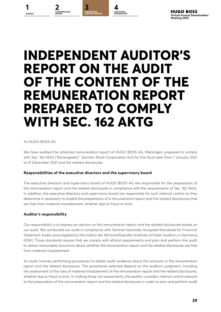# **INDEPENDENT AUDITOR'S REPORT ON THE AUDIT OF THE CONTENT OF THE REMUNERATION REPORT PREPARED TO COMPLY WITH SEC. 162 AKTG**

**ADDITIONAL INFORMATION**

**INDEPENDENT AUDITOR'S REPORT**

**[2](#page-6-0) [4](#page-40-0) COMPENSATION** 

#### To HUGO BOSS AG

<span id="page-38-0"></span>**[1](#page-3-0) 3**

**COMPENSATION** 

**AGENDA**

We have audited the attached remuneration report of HUGO BOSS AG, Metzingen, prepared to comply with Sec. 162 AktG ["Aktiengesetz": German Stock Corporation Act] for the fiscal year from 1 January 2021 to 31 December 2021 and the related disclosures.

#### **Responsibilities of the executive directors and the supervisory board**

The executive directors and supervisory board of HUGO BOSS AG are responsible for the preparation of the remuneration report and the related disclosures in compliance with the requirements of Sec. 162 AktG. In addition, the executive directors and supervisory board are responsible for such internal control as they determine is necessary to enable the preparation of a remuneration report and the related disclosures that are free from material misstatement, whether due to fraud or error.

#### **Auditor's responsibility**

Our responsibility is to express an opinion on this remuneration report and the related disclosures based on our audit. We conducted our audit in compliance with German Generally Accepted Standards for Financial Statement Audits promulgated by the Institut der Wirtschaftsprüfer [Institute of Public Auditors in Germany] (IDW). Those standards require that we comply with ethical requirements and plan and perform the audit to obtain reasonable assurance about whether the remuneration report and the related disclosures are free from material misstatement.

An audit involves performing procedures to obtain audit evidence about the amounts in the remuneration report and the related disclosures. The procedures selected depend on the auditor's judgment, including the assessment of the risks of material misstatement of the remuneration report and the related disclosures, whether due to fraud or error. In making those risk assessments, the auditor considers internal control relevant to the preparation of the remuneration report and the related disclosures in order to plan and perform audit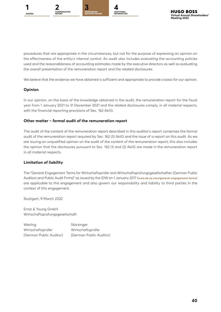

procedures that are appropriate in the circumstances, but not for the purpose of expressing an opinion on the effectiveness of the entity's internal control. An audit also includes evaluating the accounting policies used and the reasonableness of accounting estimates made by the executive directors as well as evaluating the overall presentation of the remuneration report and the related disclosures.

We believe that the evidence we have obtained is sufficient and appropriate to provide a basis for our opinion.

#### **Opinion**

In our opinion, on the basis of the knowledge obtained in the audit, the remuneration report for the fiscal year from 1 January 2021 to 31 December 2021 and the related disclosures comply, in all material respects, with the financial reporting provisions of Sec. 162 AktG.

#### **Other matter – formal audit of the remuneration report**

The audit of the content of the remuneration report described in this auditor's report comprises the formal audit of the remuneration report required by Sec. 162 (3) AktG and the issue of a report on this audit. As we are issuing an unqualified opinion on the audit of the content of the remuneration report, this also includes the opinion that the disclosures pursuant to Sec. 162 (1) and (2) AktG are made in the remuneration report in all material respects.

#### **Limitation of liability**

The "General Engagement Terms for Wirtschaftsprüfer and Wirtschaftsprüfungsgesellschaften [German Public Auditors and Public Audit Firms]" as issued by the IDW on 1 January 2017 (**[www.de.ey.com/general-engagement-terms](http://www.de.ey.com/general-engagement-terms)**) are applicable to this engagement and also govern our responsibility and liability to third parties in the context of this engagement.

Stuttgart, 9 March 2022

Ernst & Young GmbH Wirtschaftsprüfungsgesellschaft

Werling Störzinger Wirtschaftsprüfer Wirtschaftsprüfer [German Public Auditor] [German Public Auditor]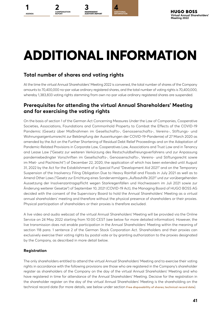



# <span id="page-40-0"></span>**ADDITIONAL INFORMATION**

# **Total number of shares and voting rights**

At the time the virtual Annual Shareholders' Meeting 2022 is convened, the total number of shares of the Company amounts to 70,400,000 no-par value ordinary registered shares, and the total number of voting rights is 70,400,000, whereby 1,383,833 voting rights stemming from own no-par value ordinary registered shares are suspended.

# **Prerequisites for attending the virtual Annual Shareholders' Meeting and for exercising the voting rights**

On the basis of section 1 of the German Act Concerning Measures Under the Law of Companies, Cooperative Societies, Associations, Foundations and Commonhold Property to Combat the Effects of the COVID-19 Pandemic (Gesetz über Maßnahmen im Gesellschafts-, Genossenschafts-, Vereins-, Stiftungs- und Wohnungseigentumsrecht zur Bekämpfung der Auswirkungen der COVID-19-Pandemie) of 27 March 2020 as amended by the Act on the Further Shortening of Residual Debt Relief Proceedings and on the Adaptation of Pandemic-Related Provisions in Corporate Law, Cooperatives Law, Associations and Trust Law and in Tenancy and Lease Law ("Gesetz zur weiteren Verkürzung des Restschuldbefreiungsverfahrens und zur Anpassung pandemiebedingter Vorschriften im Gesellschafts-, Genossenschafts-, Vereins- und Stiftungsrecht sowie im Miet- und Pachtrecht") of December 22, 2020, the application of which has been extended until August 31, 2022 by the Act for the Establishment of a Special Fund "Development Aid 2021" and on the Temporary Suspension of the Insolvency Filing Obligation Due to Heavy Rainfall and Floods in July 2021 as well as to Amend Other Laws ("Gesetz zur Errichtung eines Sondervermögens "Aufbauhilfe 2021" und zur vorübergehenden Aussetzung der Insolvenzantragspflicht wegen Starkregenfällen und Hochwassern im Juli 2021 sowie zur Änderung weiterer Gesetze") of September 10, 2021 (COVID-19 Act), the Managing Board of HUGO BOSS AG decided with the consent of the Supervisory Board to hold the Annual Shareholders' Meeting as a virtual annual shareholders' meeting and therefore without the physical presence of shareholders or their proxies. Physical participation of shareholders or their proxies is therefore excluded.

A live video and audio webcast of the virtual Annual Shareholders' Meeting will be provided via the Online Service on 24 May 2022 starting from 10:00 CEST (see below for more detailed information). However, the live transmission does not enable participation in the Annual Shareholders' Meeting within the meaning of section 118 para. 1 sentence 2 of the German Stock Corporation Act. Shareholders and their proxies can exclusively exercise their voting rights by postal vote or by granting authorization to the proxies designated by the Company, as described in more detail below.

#### **Registration**

The only shareholders entitled to attend the virtual Annual Shareholders' Meeting and to exercise their voting rights in accordance with the following provisions are those who are registered in the Company's shareholder register as shareholders of the Company on the day of the virtual Annual Shareholders' Meeting and who have registered in time for attendance of the Annual Shareholders' Meeting. Decisive for the registration in the shareholder register on the day of the virtual Annual Shareholders' Meeting is the shareholding on the technical record date (for more details, see below under section **Free disposability of shares; technical record date**).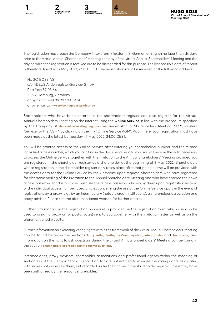

The registration must reach the Company in text form (Textform) in German or English no later than six days prior to the virtual Annual Shareholders' Meeting; the day of the virtual Annual Shareholders' Meeting and the day on which the registration is received are to be disregarded for this purpose. The last possible date of receipt is therefore Tuesday, 17 May 2022, 24:00 CEST. The registration must be received at the following address:

HUGO BOSS AG c/o ADEUS Aktienregister-Service-GmbH Postfach 57 03 64 22772 Hamburg, Germany or by fax to: +49 89 207 03 79 51 or by email to: **[hv-service.hugoboss@adeus.de](mailto:hv-service.hugoboss%40adeus.de?subject=)**

Shareholders who have been entered in the shareholder register can also register for the virtual Annual Shareholders' Meeting on the internet using the **Online Service** in line with the procedure specified by the Company at **[shareholdermeeting.hugoboss.com](http://shareholdermeeting.hugoboss.com)** under "Annual Shareholders' Meeting 2022", subitem "Service for the AGM", by clicking on the link "Online Service AGM". Again here, your registration must have been made at the latest by Tuesday, 17 May 2022, 24:00 CEST.

You will be granted access to the Online Service after entering your shareholder number and the related individual access number, which you can find in the documents sent to you. You will receive the data necessary to access the Online Service together with the Invitation to the Annual Shareholders' Meeting provided you are registered in the shareholder register as a shareholder at the beginning of 3 May 2022. Shareholders whose registration in the shareholder register only takes place after that point in time will be provided with the access data for the Online Service by the Company upon request. Shareholders who have registered for electronic mailing of the Invitation to the Annual Shareholders' Meeting and who have entered their own access password for this purpose must use the access password chosen by them upon registration instead of the individual access number. Special rules concerning the use of the Online Service apply in the event of registrations by a proxy, e.g., by an intermediary (notably credit institutions), a shareholder association or a proxy advisor. Please see the aforementioned website for further details.

Further information on the registration procedure is provided on the registration form (which can also be used to assign a proxy or for postal votes) sent to you together with the invitation letter as well as on the aforementioned website.

Further information on exercising voting rights within the framework of the virtual Annual Shareholders' Meeting can be found below in the sections **Proxy voting, Voting by Company-designated proxies** and **Postal vote**, and information on the right to ask questions during the virtual Annual Shareholders' Meeting can be found in the section **Shareholders' or proxies' right to submit questions**.

Intermediaries, proxy advisors, shareholder associations and professional agents within the meaning of section 135 of the German Stock Corporation Act are not entitled to exercise the voting rights associated with shares not owned by them, but recorded under their name in the shareholder register, unless they have been authorized by the relevant shareholder.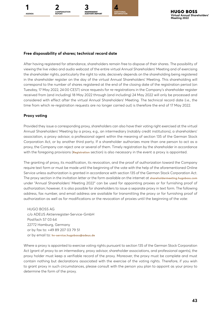**INDEPENDENT AUDITOR'S REPORT**



#### **Free disposability of shares; technical record date**

After having registered for attendance, shareholders remain free to dispose of their shares. The possibility of viewing the live video and audio webcast of the entire virtual Annual Shareholders' Meeting and of exercising the shareholder rights, particularly the right to vote, decisively depends on the shareholding being registered in the shareholder register on the day of the virtual Annual Shareholders' Meeting. This shareholding will correspond to the number of shares registered at the end of the closing date of the registration period (on Tuesday, 17 May 2022, 24:00 CEST) since requests for re-registrations in the Company's shareholder register received from (and including) 18 May 2022 through (and including) 24 May 2022 will only be processed and considered with effect after the virtual Annual Shareholders' Meeting. The technical record date (i.e., the time from which re-registration requests are no longer carried out) is therefore the end of 17 May 2022.

#### **Proxy voting**

Provided they issue a corresponding proxy, shareholders can also have their voting right exercised at the virtual Annual Shareholders' Meeting by a proxy, e.g., an intermediary (notably credit institutions), a shareholders' association, a proxy advisor, a professional agent within the meaning of section 135 of the German Stock Corporation Act, or by another third party. If a shareholder authorizes more than one person to act as a proxy, the Company can reject one or several of them. Timely registration by the shareholder in accordance with the foregoing provisions (**Registration** section) is also necessary in the event a proxy is appointed.

The granting of proxy, its modification, its revocation, and the proof of authorization toward the Company require text form or must be made until the beginning of the vote with the help of the aforementioned Online Service unless authorization is granted in accordance with section 135 of the German Stock Corporation Act. The proxy section in the invitation letter or the form available on the internet at **[shareholdermeeting.hugoboss.com](http://shareholdermeeting.hugoboss.com)** under "Annual Shareholders' Meeting 2022" can be used for appointing proxies or for furnishing proof of authorization; however, it is also possible for shareholders to issue a separate proxy in text form. The following address, fax number, and email address are available for transmitting the proxy or for furnishing proof of authorization as well as for modifications or the revocation of proxies until the beginning of the vote:

HUGO BOSS AG c/o ADEUS Aktienregister-Service-GmbH Postfach 57 03 64 22772 Hamburg, Germany or by fax to: +49 89 207 03 79 51 or by email to: **[hv-service.hugoboss@adeus.de](mailto:hv-service.hugoboss%40adeus.de?subject=)**

Where a proxy is appointed to exercise voting rights pursuant to section 135 of the German Stock Corporation Act (grant of proxy to an intermediary, proxy advisor, shareholder associations, and professional agents), the proxy holder must keep a verifiable record of the proxy. Moreover, the proxy must be complete and must contain nothing but declarations associated with the exercise of the voting rights. Therefore, if you wish to grant proxy in such circumstances, please consult with the person you plan to appoint as your proxy to determine the form of the proxy.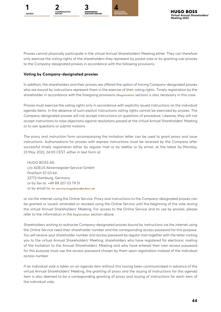

Proxies cannot physically participate in the virtual Annual Shareholders' Meeting either. They can therefore only exercise the voting rights of the shareholders they represent by postal vote or by granting sub-proxies to the Company-designated proxies in accordance with the following provisions.

#### **Voting by Company-designated proxies**

In addition, the shareholders and their proxies are offered the option of having Company-designated proxies who are bound by instructions represent them in the exercise of their voting rights. Timely registration by the shareholder in accordance with the foregoing provisions (**Registration** section) is also necessary in this case.

Proxies must exercise the voting rights only in accordance with explicitly issued instructions on the individual agenda items. In the absence of such explicit instructions voting rights cannot be exercised by proxies. The Company-designated proxies will not accept instructions on questions of procedure. Likewise, they will not accept instructions to raise objections against resolutions passed at the virtual Annual Shareholders' Meeting or to ask questions or submit motions.

The proxy and instruction form accompanying the invitation letter can be used to grant proxy and issue instructions. Authorizations for proxies with express instructions must be received by the Company after successful timely registration either by regular mail or by telefax or by email, at the latest by Monday, 23 May 2022, 24:00 CEST, either in text form at

HUGO BOSS AG c/o ADEUS Aktienregister-Service-GmbH Postfach 57 03 64 22772 Hamburg, Germany or by fax to: +49 89 207 03 79 51 or by email to: **[hv-service.hugoboss@adeus.de](mailto:hv-service.hugoboss%40adeus.de?subject=)**

or via the internet using the Online Service. Proxy and instructions to the Company-designated proxies can be granted or issued, amended or revoked using the Online Service until the beginning of the vote during the virtual Annual Shareholders' Meeting. For access to the Online Service and its use by proxies, please refer to the information in the **Registration** section above.

Shareholders wishing to authorize Company-designated proxies bound by instructions via the internet using the Online Service need their shareholder number and the corresponding access password for this purpose. You will receive your shareholder number and access password by regular mail together with the letter inviting you to the virtual Annual Shareholders' Meeting; shareholders who have registered for electronic mailing of the Invitation to the Annual Shareholders' Meeting and who have entered their own access password for this purpose must use the access password chosen by them upon registration instead of the individual access number.

If an individual vote is taken on an agenda item without this having been communicated in advance of the virtual Annual Shareholders' Meeting, the granting of proxy and the issuing of instructions for this agenda item is also deemed to be a corresponding granting of proxy and issuing of instructions for each item of the individual vote.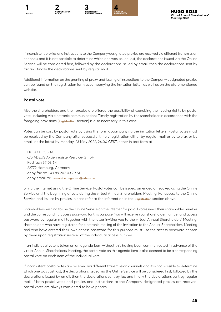



If inconsistent proxies and instructions to the Company-designated proxies are received via different transmission channels and it is not possible to determine which one was issued last, the declarations issued via the Online Service will be considered first, followed by the declarations issued by email, then the declarations sent by fax and finally the declarations sent by regular mail.

Additional information on the granting of proxy and issuing of instructions to the Company-designated proxies can be found on the registration form accompanying the invitation letter, as well as on the aforementioned website.

#### **Postal vote**

Also the shareholders and their proxies are offered the possibility of exercising their voting rights by postal vote (including via electronic communication). Timely registration by the shareholder in accordance with the foregoing provisions (**Registration** section) is also necessary in this case.

Votes can be cast by postal vote by using the form accompanying the invitation letters. Postal votes must be received by the Company after successful timely registration either by regular mail or by telefax or by email, at the latest by Monday, 23 May 2022, 24:00 CEST, either in text form at

HUGO BOSS AG c/o ADEUS Aktienregister-Service-GmbH Postfach 57 03 64 22772 Hamburg, Germany or by fax to: +49 89 207 03 79 51 or by email to: **[hv-service.hugoboss@adeus.de](mailto:hv-service.hugoboss%40adeus.de?subject=)**

or via the internet using the Online Service. Postal votes can be issued, amended or revoked using the Online Service until the beginning of vote during the virtual Annual Shareholders' Meeting. For access to the Online Service and its use by proxies, please refer to the information in the **Registration** section above.

Shareholders wishing to use the Online Service on the internet for postal votes need their shareholder number and the corresponding access password for this purpose. You will receive your shareholder number and access password by regular mail together with the letter inviting you to the virtual Annual Shareholders' Meeting; shareholders who have registered for electronic mailing of the Invitation to the Annual Shareholders' Meeting and who have entered their own access password for this purpose must use the access password chosen by them upon registration instead of the individual access number.

If an individual vote is taken on an agenda item without this having been communicated in advance of the virtual Annual Shareholders' Meeting, the postal vote on this agenda item is also deemed to be a corresponding postal vote on each item of the individual vote.

If inconsistent postal votes are received via different transmission channels and it is not possible to determine which one was cast last, the declarations issued via the Online Service will be considered first, followed by the declarations issued by email, then the declarations sent by fax and finally the declarations sent by regular mail. If both postal votes and proxies and instructions to the Company-designated proxies are received, postal votes are always considered to have priority.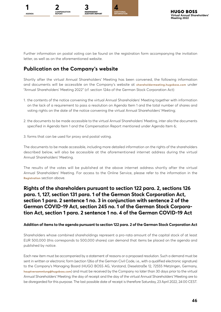

Further information on postal voting can be found on the registration form accompanying the invitation letter, as well as on the aforementioned website.

# **Publication on the Company's website**

Shortly after the virtual Annual Shareholders' Meeting has been convened, the following information and documents will be accessible on the Company's website at **[shareholdermeeting.hugoboss.com](http://shareholdermeeting.hugoboss.com)** under "Annual Shareholders' Meeting 2022" (cf. section 124a of the German Stock Corporation Act):

- 1. the contents of the notice convening the virtual Annual Shareholders' Meeting together with information on the lack of a requirement to pass a resolution on Agenda Item 1 and the total number of shares and voting rights on the date of the notice convening the virtual Annual Shareholders' Meeting;
- 2. the documents to be made accessible to the virtual Annual Shareholders' Meeting, inter alia the documents specified in Agenda Item 1 and the Compensation Report mentioned under Agenda Item 6;
- 3. forms that can be used for proxy and postal voting.

The documents to be made accessible, including more detailed information on the rights of the shareholders described below, will also be accessible at the aforementioned internet address during the virtual Annual Shareholders' Meeting.

The results of the votes will be published at the above internet address shortly after the virtual Annual Shareholders' Meeting. For access to the Online Service, please refer to the information in the **Registration** section above.

# **Rights of the shareholders pursuant to section 122 para. 2, sections 126 para. 1, 127, section 131 para. 1 of the German Stock Corporation Act, section 1 para. 2 sentence 1 no. 3 in conjunction with sentence 2 of the German COVID-19 Act, section 245 no. 1 of the German Stock Corporation Act, section 1 para. 2 sentence 1 no. 4 of the German COVID-19 Act**

#### **Addition of items to the agenda pursuant to section 122 para. 2 of the German Stock Corporation Act**

Shareholders whose combined shareholdings represent a pro-rata amount of the capital stock of at least EUR 500,000 (this corresponds to 500,000 shares) can demand that items be placed on the agenda and published by notice.

Each new item must be accompanied by a statement of reasons or a proposed resolution. Such a demand must be sent in written or electronic form (section 126a of the German Civil Code, i.e., with a qualified electronic signature) to the Company's Managing Board (HUGO BOSS AG, Vorstand, Dieselstraße 12, 72555 Metzingen, Germany, **[hauptversammlung@hugoboss.com](mailto:hauptversammlung%40hugoboss.com?subject=)**) and must be received by the Company no later than 30 days prior to the virtual Annual Shareholders' Meeting; the day of receipt and the day of the virtual Annual Shareholders' Meeting are to be disregarded for this purpose. The last possible date of receipt is therefore Saturday, 23 April 2022, 24:00 CEST.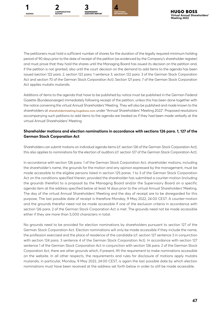



The petitioners must hold a sufficient number of shares for the duration of the legally required minimum holding period of 90 days prior to the date of receipt of the petition (as evidenced by the Company's shareholder register) and must prove that they hold the shares until the Managing Board has issued its decision on the petition and, if the petition is not granted, also until the court decision on the demand to add items to the agenda has been issued (section 122 para. 2, section 122 para. 1 sentence 3, section 122 para. 3 of the German Stock Corporation Act and section 70 of the German Stock Corporation Act). Section 121 para. 7 of the German Stock Corporation Act applies mutatis mutandis.

Additions of items to the agenda that have to be published by notice must be published in the German Federal Gazette (Bundesanzeiger) immediately following receipt of the petition, unless this has been done together with the notice convening the virtual Annual Shareholders' Meeting. They will also be published and made known to the shareholders at **[shareholdermeeting.hugoboss.com](http://shareholdermeeting.hugoboss.com)** under "Annual Shareholders' Meeting 2022". Proposed resolutions accompanying such petitions to add items to the agenda are treated as if they had been made verbally at the virtual Annual Shareholders' Meeting.

#### **Shareholder motions and election nominations in accordance with sections 126 para. 1, 127 of the German Stock Corporation Act**

Shareholders can submit motions on individual agenda items (cf. section 126 of the German Stock Corporation Act); this also applies to nominations for the election of auditors (cf. section 127 of the German Stock Corporation Act).

In accordance with section 126 para. 1 of the German Stock Corporation Act, shareholder motions, including the shareholder's name, the grounds for the motion and any opinion expressed by the management, must be made accessible to the eligible persons listed in section 125 paras. 1 to 3 of the German Stock Corporation Act on the conditions specified therein, provided the shareholder has submitted a counter-motion (including the grounds therefor) to a proposal by the Managing Board and/or the Supervisory Board on a specific agenda item at the address specified below at least 14 days prior to the virtual Annual Shareholders' Meeting. The day of the virtual Annual Shareholders' Meeting and the day of receipt are to be disregarded for this purpose. The last possible date of receipt is therefore Monday, 9 May 2022, 24:00 CEST. A counter-motion and the grounds therefor need not be made accessible if one of the exclusion criteria in accordance with section 126 para. 2 of the German Stock Corporation Act is met. The grounds need not be made accessible either if they are more than 5,000 characters in total.

No grounds need to be provided for election nominations by shareholders pursuant to section 127 of the German Stock Corporation Act. Election nominations will only be made accessible if they include the name, the profession exercised and the place of residence of the candidate (cf. section 127 sentence 3 in conjunction with section 124 para. 3 sentence 4 of the German Stock Corporation Act). In accordance with section 127 sentence 1 of the German Stock Corporation Act in conjunction with section 126 para. 2 of the German Stock Corporation Act, there are other grounds which, if present, lift the requirement to make nominations accessible on the website. In all other respects, the requirements and rules for disclosure of motions apply mutatis mutandis; in particular, Monday, 9 May 2022, 24:00 CEST, is again the last possible date by which election nominations must have been received at the address set forth below in order to still be made accessible.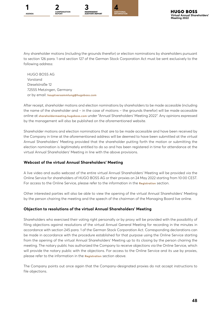

Any shareholder motions (including the grounds therefor) or election nominations by shareholders pursuant to section 126 para. 1 and section 127 of the German Stock Corporation Act must be sent exclusively to the following address:

HUGO BOSS AG Vorstand Dieselstraße 12 72555 Metzingen, Germany or by email: **[hauptversammlung@hugoboss.com](mailto:hauptversammlung%40hugoboss.com?subject=)**

After receipt, shareholder motions and election nominations by shareholders to be made accessible (including the name of the shareholder and – in the case of motions – the grounds therefor) will be made accessible online at **[shareholdermeeting.hugoboss.com](http://shareholdermeeting.hugoboss.com)** under "Annual Shareholders' Meeting 2022". Any opinions expressed by the management will also be published on the aforementioned website.

Shareholder motions and election nominations that are to be made accessible and have been received by the Company in time at the aforementioned address will be deemed to have been submitted at the virtual Annual Shareholders' Meeting provided that the shareholder putting forth the motion or submitting the election nomination is legitimately entitled to do so and has been registered in time for attendance at the virtual Annual Shareholders' Meeting in line with the above provisions.

#### **Webcast of the virtual Annual Shareholders' Meeting**

A live video and audio webcast of the entire virtual Annual Shareholders' Meeting will be provided via the Online Service for shareholders of HUGO BOSS AG or their proxies on 24 May 2022 starting from 10:00 CEST. For access to the Online Service, please refer to the information in the **Registration** section.

Other interested parties will also be able to view the opening of the virtual Annual Shareholders' Meeting by the person chairing the meeting and the speech of the chairman of the Managing Board live online.

#### **Objection to resolutions of the virtual Annual Shareholders' Meeting**

Shareholders who exercised their voting right personally or by proxy will be provided with the possibility of filing objections against resolutions of the virtual Annual General Meeting for recording in the minutes in accordance with section 245 para. 1 of the German Stock Corporation Act. Corresponding declarations can be made in accordance with the procedure established for that purpose using the Online Service starting from the opening of the virtual Annual Shareholders' Meeting up to its closing by the person chairing the meeting. The notary public has authorized the Company to receive objections via the Online Service, which will provide the notary public with the objections. For access to the Online Service and its use by proxies, please refer to the information in the **Registration** section above.

The Company points out once again that the Company-designated proxies do not accept instructions to file objections.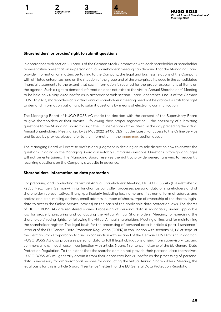

#### **Shareholders' or proxies' right to submit questions**

In accordance with section 131 para. 1 of the German Stock Corporation Act, each shareholder or shareholder representative present at an in-person annual shareholders' meeting can demand that the Managing Board provide information on matters pertaining to the Company, the legal and business relations of the Company with affiliated enterprises, and on the situation of the group and of the enterprises included in the consolidated financial statements to the extent that such information is required for the proper assessment of items on the agenda. Such a right to demand information does not exist at the virtual Annual Shareholders' Meeting to be held on 24 May 2022 insofar as in accordance with section 1 para. 2 sentence 1 no. 3 of the German COVID-19 Act, shareholders at a virtual annual shareholders' meeting need not be granted a statutory right to demand information but a right to submit questions by means of electronic communication.

The Managing Board of HUGO BOSS AG made the decision with the consent of the Supervisory Board to give shareholders or their proxies – following their proper registration – the possibility of submitting questions to the Managing Board through the Online Service at the latest by the day preceding the virtual Annual Shareholders' Meeting, i.e., by 22 May 2022, 24:00 CEST, at the latest. For access to the Online Service and its use by proxies, please refer to the information in the **Registration** section above.

The Managing Board will exercise professional judgment in deciding at its sole discretion how to answer the questions. In doing so, the Managing Board can notably summarize questions. Questions in foreign languages will not be entertained. The Managing Board reserves the right to provide general answers to frequently recurring questions on the Company's website in advance.

#### **Shareholders' information on data protection**

For preparing and conducting its virtual Annual Shareholders' Meeting, HUGO BOSS AG (Dieselstraße 12, 72555 Metzingen, Germany), in its function as controller, processes personal data of shareholders and of shareholder representatives, if any, (particularly including last name and first name, form of address and professional title, mailing address, email address, number of shares, type of ownership of the shares, logindata to access the Online Service, proxies) on the basis of the applicable data protection laws. The shares of HUGO BOSS AG are registered shares. Processing of personal data is mandatory under applicable law for properly preparing and conducting the virtual Annual Shareholders' Meeting, for exercising the shareholders' voting rights, for following the virtual Annual Shareholders' Meeting online, and for maintaining the shareholder register. The legal basis for the processing of personal data is article 6 para. 1 sentence 1 letter c) of the EU General Data Protection Regulation (GDPR) in conjunction with sections 67, 118 et seqq. of the German Stock Corporation Act and in conjunction with section 1 of the German COVID-19 Act. In addition, HUGO BOSS AG also processes personal data to fulfill legal obligations arising from supervisory, tax and commercial law, in each case in conjunction with article. 6 para. 1 sentence 1 letter c) of the EU General Data Protection Regulation. To the extent that the shareholders do not provide their personal data themselves, HUGO BOSS AG will generally obtain it from their depositary banks. Insofar as the processing of personal data is necessary for organizational reasons for conducting the virtual Annual Shareholders' Meeting, the legal basis for this is article 6 para. 1 sentence 1 letter f) of the EU General Data Protection Regulation.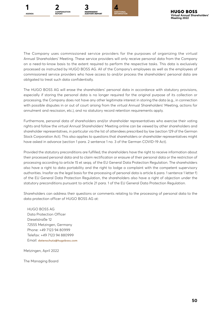



The Company uses commissioned service providers for the purposes of organizing the virtual Annual Shareholders' Meeting. These service providers will only receive personal data from the Company on a need-to-know basis to the extent required to perform the respective tasks. This data is exclusively processed as instructed by HUGO BOSS AG. All of the Company's employees as well as the employees of commissioned service providers who have access to and/or process the shareholders' personal data are obligated to treat such data confidentially.

The HUGO BOSS AG will erase the shareholders' personal data in accordance with statutory provisions, especially if storing the personal data is no longer required for the original purpose of its collection or processing, the Company does not have any other legitimate interest in storing the data (e.g., in connection with possible disputes in or out of court arising from the virtual Annual Shareholders' Meeting, actions for annulment and rescission, etc.), and no statutory record retention requirements apply.

Furthermore, personal data of shareholders and/or shareholder representatives who exercise their voting rights and follow the virtual Annual Shareholders' Meeting online can be viewed by other shareholders and shareholder representatives, in particular via the list of attendees prescribed by law (section 129 of the German Stock Corporation Act). This also applies to questions that shareholders or shareholder representatives might have asked in advance (section 1 para. 2 sentence 1 no. 3 of the German COVID-19 Act).

Provided the statutory preconditions are fulfilled, the shareholders have the right to receive information about their processed personal data and to claim rectification or erasure of their personal data or the restriction of processing according to article 15 et seqq. of the EU General Data Protection Regulation. The shareholders also have a right to data portability and the right to lodge a complaint with the competent supervisory authorities. Insofar as the legal basis for the processing of personal data is article 6 para. 1 sentence 1 letter f) of the EU General Data Protection Regulation, the shareholders also have a right of objection under the statutory preconditions pursuant to article 21 para. 1 of the EU General Data Protection Regulation.

Shareholders can address their questions or comments relating to the processing of personal data to the data protection officer of HUGO BOSS AG at:

HUGO BOSS AG Data Protection Officer Dieselstraße 12 72555 Metzingen, Germany Phone: +49 7123 94 80999 Telefax: +49 7123 94 880999 Email: **[datenschutz@hugoboss.com](mailto:datenschutz%40hugoboss.com?subject=)**

Metzingen, April 2022

The Managing Board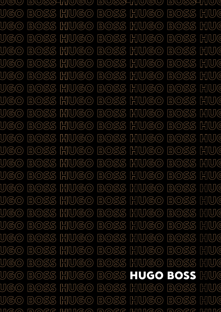UJ(GJ(U*)*  $BOSS$   $HU(GO)$ BOSS HUGO BOSS HUI U)(G(0) HUG BOSS HUGO  $BOSS$  $H(U)$ (G) $O$  $BOSS$  $U(G(O)$  $BOSS$  HUGO BOSS HUG BOSS HUGO U)(G(0) BOSS HUG BOSS HUGO BOSS HUGO U)(G(0)  $U(\mathbb{G}(\widehat{\circ})$ BOSS HUI BOSS HUGO BOSS HUGO BOSS HUGO BOSS HUG BOSS HUGO U)(G(0) **BOSS HUGO**  $U(\overline{G}(\overline{O})$ BOSS HUI BOSS HUGO BOSS HUGO BOSS HUGO BOSS HUI **U**GO BOSS HUGO UGO) BOSS HUGO BOSS HUG BOSS HUGO  $BOSS$  $HU(GO)$ BOSS HUG U)(G(0) **BOSS HUGO**  $\bigcup (\overline{\mathbb{G}}(\overline{\mathbb{O}})$ BOSS HUGO BOSS HUG **BOSS HUGO**  $BOSS$  $HU(GO)$ **BOSS HUG** U)(G(0)  $U(G(O)$ BOSS HUGO BOSS HUGO BOSS HUI  $U(G(O)$  $BOSS$   $HU(GO)$  $BOSS$   $HU(GO)$ BOSS HUI  $U(G(O)$ BOSS HUGO  $BOSS$   $HU(GO)$ BOSS HUI U(G(0) BOSS HUGO BOSS HUGO BOSS HUIC UGO) BOSS HUGO BOSS HUGO BOSS HUI U)(G(0) BOSS HUGO  $BOSS$  $H[U(GO)$  $BOSS$ HU( UGO) BOSS HUGO BOSS HUGO BOSS HUI  $H(U(\mathbb{G} \circledcirc)$ **U**GO BOSS  $BOSS$  $H(U)$ (G(O)  $BOSS$  $HU$ **BOSS HUGO**  $BOSS$   $HU(GO)$ BOSS HUIC  $U(G(O)$ BOSS HUGO BOSS HUG **U**GO BOSS  $H(U)$ G $(O)$  $BOSS$   $HU(GO)$  $\bigcup (\overline{\mathbb{G}}(\overline{\mathbb{O}})$  $BOSS$   $HU(GO)$ BOSS HUI  $HU$ **U**GO BOSS H (U)(G(O)  $BOSS$  $H(U)$ G $(O)$  $BOSS$  $1162$  Q DQRR  $111112$  Q DQRR  $111112$  Q DQRR  $111116$